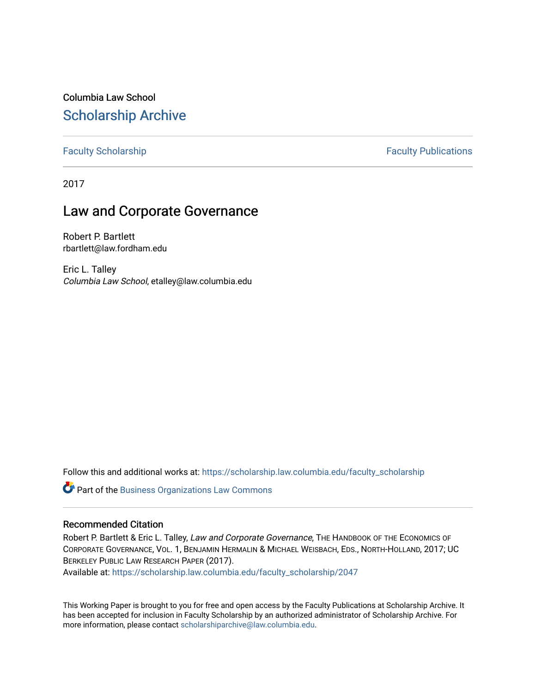Columbia Law School [Scholarship Archive](https://scholarship.law.columbia.edu/) 

[Faculty Scholarship](https://scholarship.law.columbia.edu/faculty_scholarship) **Faculty Scholarship Faculty Publications** 

2017

## Law and Corporate Governance

Robert P. Bartlett rbartlett@law.fordham.edu

Eric L. Talley Columbia Law School, etalley@law.columbia.edu

Follow this and additional works at: [https://scholarship.law.columbia.edu/faculty\\_scholarship](https://scholarship.law.columbia.edu/faculty_scholarship?utm_source=scholarship.law.columbia.edu%2Ffaculty_scholarship%2F2047&utm_medium=PDF&utm_campaign=PDFCoverPages)

Part of the [Business Organizations Law Commons](http://network.bepress.com/hgg/discipline/900?utm_source=scholarship.law.columbia.edu%2Ffaculty_scholarship%2F2047&utm_medium=PDF&utm_campaign=PDFCoverPages)

### Recommended Citation

Robert P. Bartlett & Eric L. Talley, Law and Corporate Governance, THE HANDBOOK OF THE ECONOMICS OF CORPORATE GOVERNANCE, VOL. 1, BENJAMIN HERMALIN & MICHAEL WEISBACH, EDS., NORTH-HOLLAND, 2017; UC BERKELEY PUBLIC LAW RESEARCH PAPER (2017).

Available at: [https://scholarship.law.columbia.edu/faculty\\_scholarship/2047](https://scholarship.law.columbia.edu/faculty_scholarship/2047?utm_source=scholarship.law.columbia.edu%2Ffaculty_scholarship%2F2047&utm_medium=PDF&utm_campaign=PDFCoverPages)

This Working Paper is brought to you for free and open access by the Faculty Publications at Scholarship Archive. It has been accepted for inclusion in Faculty Scholarship by an authorized administrator of Scholarship Archive. For more information, please contact [scholarshiparchive@law.columbia.edu.](mailto:scholarshiparchive@law.columbia.edu)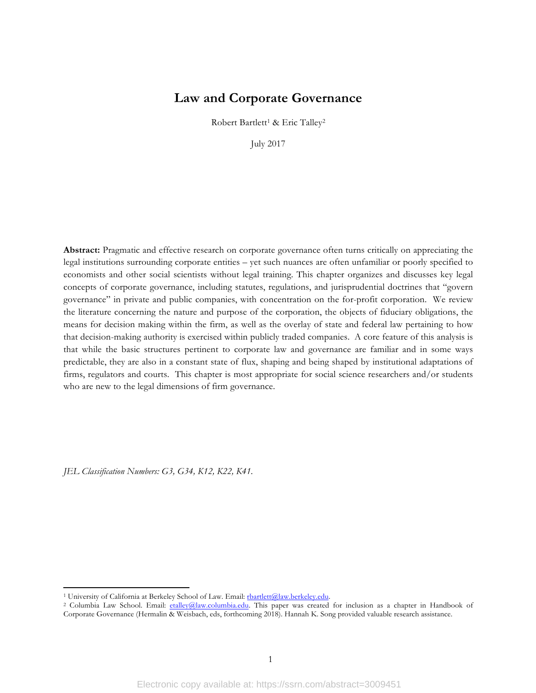## **Law and Corporate Governance**

Robert Bartlett<sup>1</sup> & Eric Talley<sup>2</sup>

July 2017

**Abstract:** Pragmatic and effective research on corporate governance often turns critically on appreciating the legal institutions surrounding corporate entities – yet such nuances are often unfamiliar or poorly specified to economists and other social scientists without legal training. This chapter organizes and discusses key legal concepts of corporate governance, including statutes, regulations, and jurisprudential doctrines that "govern governance" in private and public companies, with concentration on the for-profit corporation. We review the literature concerning the nature and purpose of the corporation, the objects of fiduciary obligations, the means for decision making within the firm, as well as the overlay of state and federal law pertaining to how that decision-making authority is exercised within publicly traded companies. A core feature of this analysis is that while the basic structures pertinent to corporate law and governance are familiar and in some ways predictable, they are also in a constant state of flux, shaping and being shaped by institutional adaptations of firms, regulators and courts. This chapter is most appropriate for social science researchers and/or students who are new to the legal dimensions of firm governance.

*JEL Classification Numbers: G3, G34, K12, K22, K41.*

<u> 1989 - Jan Samuel Barbara, margaret e</u>

<sup>&</sup>lt;sup>1</sup> University of California at Berkeley School of Law. Email: *rbartlett@law.berkeley.edu*.<br><sup>2</sup> Columbia Law School. Email: *etalley@law.columbia.edu*. This paper was created for inclusion as a chapter in Handbook of Corporate Governance (Hermalin & Weisbach, eds, forthcoming 2018). Hannah K. Song provided valuable research assistance.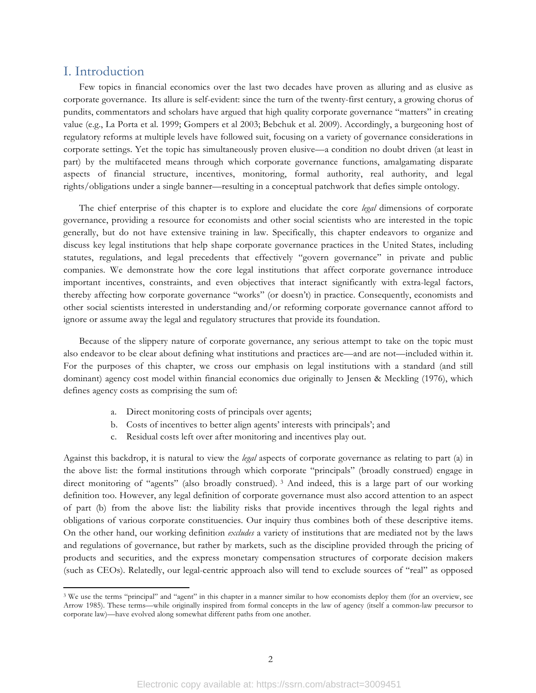### I. Introduction

Few topics in financial economics over the last two decades have proven as alluring and as elusive as corporate governance. Its allure is self-evident: since the turn of the twenty-first century, a growing chorus of pundits, commentators and scholars have argued that high quality corporate governance "matters" in creating value (e.g., La Porta et al. 1999; Gompers et al 2003; Bebchuk et al. 2009). Accordingly, a burgeoning host of regulatory reforms at multiple levels have followed suit, focusing on a variety of governance considerations in corporate settings. Yet the topic has simultaneously proven elusive—a condition no doubt driven (at least in part) by the multifaceted means through which corporate governance functions, amalgamating disparate aspects of financial structure, incentives, monitoring, formal authority, real authority, and legal rights/obligations under a single banner—resulting in a conceptual patchwork that defies simple ontology.

The chief enterprise of this chapter is to explore and elucidate the core *legal* dimensions of corporate governance, providing a resource for economists and other social scientists who are interested in the topic generally, but do not have extensive training in law. Specifically, this chapter endeavors to organize and discuss key legal institutions that help shape corporate governance practices in the United States, including statutes, regulations, and legal precedents that effectively "govern governance" in private and public companies. We demonstrate how the core legal institutions that affect corporate governance introduce important incentives, constraints, and even objectives that interact significantly with extra-legal factors, thereby affecting how corporate governance "works" (or doesn't) in practice. Consequently, economists and other social scientists interested in understanding and/or reforming corporate governance cannot afford to ignore or assume away the legal and regulatory structures that provide its foundation.

Because of the slippery nature of corporate governance, any serious attempt to take on the topic must also endeavor to be clear about defining what institutions and practices are—and are not—included within it. For the purposes of this chapter, we cross our emphasis on legal institutions with a standard (and still dominant) agency cost model within financial economics due originally to Jensen & Meckling (1976), which defines agency costs as comprising the sum of:

a. Direct monitoring costs of principals over agents;

<u> 1989 - Jan Samuel Barbara, margaret e</u>

- b. Costs of incentives to better align agents' interests with principals'; and
- c. Residual costs left over after monitoring and incentives play out.

Against this backdrop, it is natural to view the *legal* aspects of corporate governance as relating to part (a) in the above list: the formal institutions through which corporate "principals" (broadly construed) engage in direct monitoring of "agents" (also broadly construed). <sup>3</sup> And indeed, this is a large part of our working definition too. However, any legal definition of corporate governance must also accord attention to an aspect of part (b) from the above list: the liability risks that provide incentives through the legal rights and obligations of various corporate constituencies. Our inquiry thus combines both of these descriptive items. On the other hand, our working definition *excludes* a variety of institutions that are mediated not by the laws and regulations of governance, but rather by markets, such as the discipline provided through the pricing of products and securities, and the express monetary compensation structures of corporate decision makers (such as CEOs). Relatedly, our legal-centric approach also will tend to exclude sources of "real" as opposed

<sup>&</sup>lt;sup>3</sup> We use the terms "principal" and "agent" in this chapter in a manner similar to how economists deploy them (for an overview, see Arrow 1985). These terms—while originally inspired from formal concepts in the law of agency (itself a common-law precursor to corporate law)—have evolved along somewhat different paths from one another.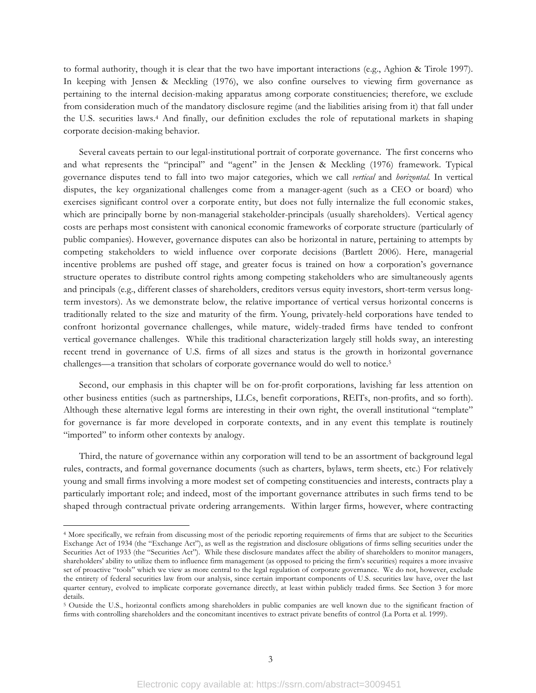to formal authority, though it is clear that the two have important interactions (e.g., Aghion & Tirole 1997). In keeping with Jensen & Meckling (1976), we also confine ourselves to viewing firm governance as pertaining to the internal decision-making apparatus among corporate constituencies; therefore, we exclude from consideration much of the mandatory disclosure regime (and the liabilities arising from it) that fall under the U.S. securities laws.4 And finally, our definition excludes the role of reputational markets in shaping corporate decision-making behavior.

Several caveats pertain to our legal-institutional portrait of corporate governance. The first concerns who and what represents the "principal" and "agent" in the Jensen & Meckling (1976) framework. Typical governance disputes tend to fall into two major categories, which we call *vertical* and *horizontal.* In vertical disputes, the key organizational challenges come from a manager-agent (such as a CEO or board) who exercises significant control over a corporate entity, but does not fully internalize the full economic stakes, which are principally borne by non-managerial stakeholder-principals (usually shareholders). Vertical agency costs are perhaps most consistent with canonical economic frameworks of corporate structure (particularly of public companies). However, governance disputes can also be horizontal in nature, pertaining to attempts by competing stakeholders to wield influence over corporate decisions (Bartlett 2006). Here, managerial incentive problems are pushed off stage, and greater focus is trained on how a corporation's governance structure operates to distribute control rights among competing stakeholders who are simultaneously agents and principals (e.g., different classes of shareholders, creditors versus equity investors, short-term versus longterm investors). As we demonstrate below, the relative importance of vertical versus horizontal concerns is traditionally related to the size and maturity of the firm. Young, privately-held corporations have tended to confront horizontal governance challenges, while mature, widely-traded firms have tended to confront vertical governance challenges. While this traditional characterization largely still holds sway, an interesting recent trend in governance of U.S. firms of all sizes and status is the growth in horizontal governance challenges—a transition that scholars of corporate governance would do well to notice.5

Second, our emphasis in this chapter will be on for-profit corporations, lavishing far less attention on other business entities (such as partnerships, LLCs, benefit corporations, REITs, non-profits, and so forth). Although these alternative legal forms are interesting in their own right, the overall institutional "template" for governance is far more developed in corporate contexts, and in any event this template is routinely "imported" to inform other contexts by analogy.

Third, the nature of governance within any corporation will tend to be an assortment of background legal rules, contracts, and formal governance documents (such as charters, bylaws, term sheets, etc.) For relatively young and small firms involving a more modest set of competing constituencies and interests, contracts play a particularly important role; and indeed, most of the important governance attributes in such firms tend to be shaped through contractual private ordering arrangements. Within larger firms, however, where contracting

<u> 1989 - Jan Samuel Barbara, margaret e</u>

<sup>4</sup> More specifically, we refrain from discussing most of the periodic reporting requirements of firms that are subject to the Securities Exchange Act of 1934 (the "Exchange Act"), as well as the registration and disclosure obligations of firms selling securities under the Securities Act of 1933 (the "Securities Act"). While these disclosure mandates affect the ability of shareholders to monitor managers, shareholders' ability to utilize them to influence firm management (as opposed to pricing the firm's securities) requires a more invasive set of proactive "tools" which we view as more central to the legal regulation of corporate governance. We do not, however, exclude the entirety of federal securities law from our analysis, since certain important components of U.S. securities law have, over the last quarter century, evolved to implicate corporate governance directly, at least within publicly traded firms. See Section 3 for more details.

<sup>5</sup> Outside the U.S., horizontal conflicts among shareholders in public companies are well known due to the significant fraction of firms with controlling shareholders and the concomitant incentives to extract private benefits of control (La Porta et al. 1999).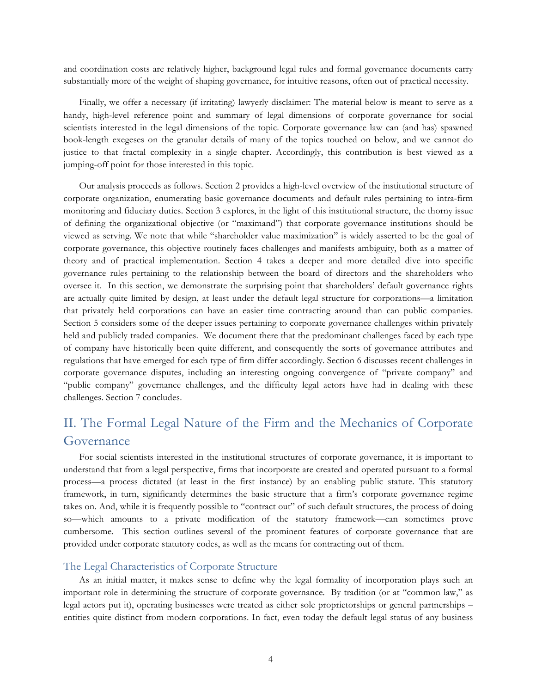and coordination costs are relatively higher, background legal rules and formal governance documents carry substantially more of the weight of shaping governance, for intuitive reasons, often out of practical necessity.

Finally, we offer a necessary (if irritating) lawyerly disclaimer: The material below is meant to serve as a handy, high-level reference point and summary of legal dimensions of corporate governance for social scientists interested in the legal dimensions of the topic. Corporate governance law can (and has) spawned book-length exegeses on the granular details of many of the topics touched on below, and we cannot do justice to that fractal complexity in a single chapter. Accordingly, this contribution is best viewed as a jumping-off point for those interested in this topic.

Our analysis proceeds as follows. Section 2 provides a high-level overview of the institutional structure of corporate organization, enumerating basic governance documents and default rules pertaining to intra-firm monitoring and fiduciary duties. Section 3 explores, in the light of this institutional structure, the thorny issue of defining the organizational objective (or "maximand") that corporate governance institutions should be viewed as serving. We note that while "shareholder value maximization" is widely asserted to be the goal of corporate governance, this objective routinely faces challenges and manifests ambiguity, both as a matter of theory and of practical implementation. Section 4 takes a deeper and more detailed dive into specific governance rules pertaining to the relationship between the board of directors and the shareholders who oversee it. In this section, we demonstrate the surprising point that shareholders' default governance rights are actually quite limited by design, at least under the default legal structure for corporations—a limitation that privately held corporations can have an easier time contracting around than can public companies. Section 5 considers some of the deeper issues pertaining to corporate governance challenges within privately held and publicly traded companies. We document there that the predominant challenges faced by each type of company have historically been quite different, and consequently the sorts of governance attributes and regulations that have emerged for each type of firm differ accordingly. Section 6 discusses recent challenges in corporate governance disputes, including an interesting ongoing convergence of "private company" and "public company" governance challenges, and the difficulty legal actors have had in dealing with these challenges. Section 7 concludes.

# II. The Formal Legal Nature of the Firm and the Mechanics of Corporate Governance

For social scientists interested in the institutional structures of corporate governance, it is important to understand that from a legal perspective, firms that incorporate are created and operated pursuant to a formal process—a process dictated (at least in the first instance) by an enabling public statute. This statutory framework, in turn, significantly determines the basic structure that a firm's corporate governance regime takes on. And, while it is frequently possible to "contract out" of such default structures, the process of doing so—which amounts to a private modification of the statutory framework—can sometimes prove cumbersome. This section outlines several of the prominent features of corporate governance that are provided under corporate statutory codes, as well as the means for contracting out of them.

#### The Legal Characteristics of Corporate Structure

As an initial matter, it makes sense to define why the legal formality of incorporation plays such an important role in determining the structure of corporate governance. By tradition (or at "common law," as legal actors put it), operating businesses were treated as either sole proprietorships or general partnerships – entities quite distinct from modern corporations. In fact, even today the default legal status of any business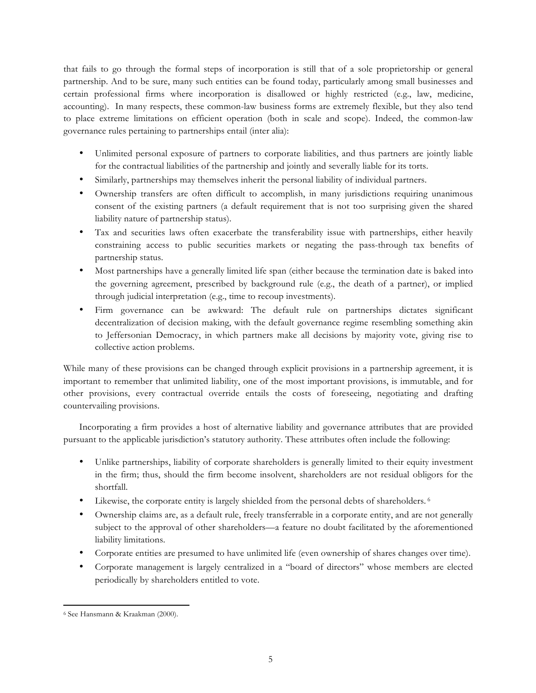that fails to go through the formal steps of incorporation is still that of a sole proprietorship or general partnership. And to be sure, many such entities can be found today, particularly among small businesses and certain professional firms where incorporation is disallowed or highly restricted (e.g., law, medicine, accounting). In many respects, these common-law business forms are extremely flexible, but they also tend to place extreme limitations on efficient operation (both in scale and scope). Indeed, the common-law governance rules pertaining to partnerships entail (inter alia):

- Unlimited personal exposure of partners to corporate liabilities, and thus partners are jointly liable for the contractual liabilities of the partnership and jointly and severally liable for its torts.
- Similarly, partnerships may themselves inherit the personal liability of individual partners.
- Ownership transfers are often difficult to accomplish, in many jurisdictions requiring unanimous consent of the existing partners (a default requirement that is not too surprising given the shared liability nature of partnership status).
- Tax and securities laws often exacerbate the transferability issue with partnerships, either heavily constraining access to public securities markets or negating the pass-through tax benefits of partnership status.
- Most partnerships have a generally limited life span (either because the termination date is baked into the governing agreement, prescribed by background rule (e.g., the death of a partner), or implied through judicial interpretation (e.g., time to recoup investments).
- Firm governance can be awkward: The default rule on partnerships dictates significant decentralization of decision making, with the default governance regime resembling something akin to Jeffersonian Democracy, in which partners make all decisions by majority vote, giving rise to collective action problems.

While many of these provisions can be changed through explicit provisions in a partnership agreement, it is important to remember that unlimited liability, one of the most important provisions, is immutable, and for other provisions, every contractual override entails the costs of foreseeing, negotiating and drafting countervailing provisions.

Incorporating a firm provides a host of alternative liability and governance attributes that are provided pursuant to the applicable jurisdiction's statutory authority. These attributes often include the following:

- Unlike partnerships, liability of corporate shareholders is generally limited to their equity investment in the firm; thus, should the firm become insolvent, shareholders are not residual obligors for the shortfall.
- Likewise, the corporate entity is largely shielded from the personal debts of shareholders. <sup>6</sup>
- Ownership claims are, as a default rule, freely transferrable in a corporate entity, and are not generally subject to the approval of other shareholders—a feature no doubt facilitated by the aforementioned liability limitations.
- Corporate entities are presumed to have unlimited life (even ownership of shares changes over time).
- Corporate management is largely centralized in a "board of directors" whose members are elected periodically by shareholders entitled to vote.

 <sup>6</sup> See Hansmann & Kraakman (2000).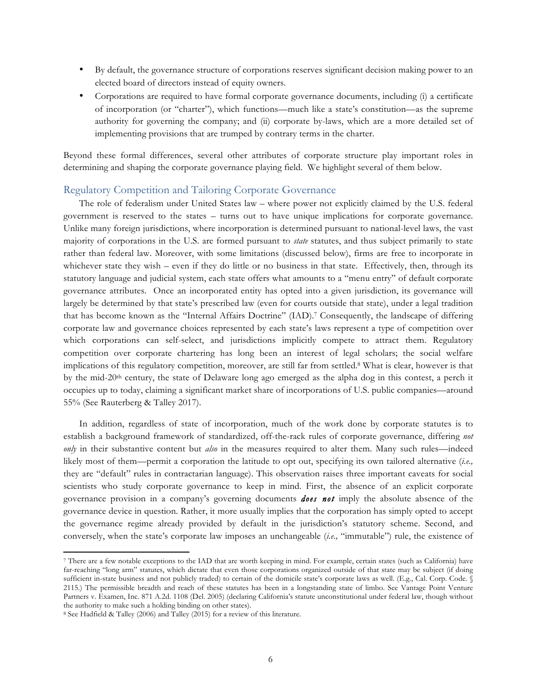- By default, the governance structure of corporations reserves significant decision making power to an elected board of directors instead of equity owners.
- Corporations are required to have formal corporate governance documents, including (i) a certificate of incorporation (or "charter"), which functions—much like a state's constitution—as the supreme authority for governing the company; and (ii) corporate by-laws, which are a more detailed set of implementing provisions that are trumped by contrary terms in the charter.

Beyond these formal differences, several other attributes of corporate structure play important roles in determining and shaping the corporate governance playing field. We highlight several of them below.

#### Regulatory Competition and Tailoring Corporate Governance

The role of federalism under United States law – where power not explicitly claimed by the U.S. federal government is reserved to the states – turns out to have unique implications for corporate governance. Unlike many foreign jurisdictions, where incorporation is determined pursuant to national-level laws, the vast majority of corporations in the U.S. are formed pursuant to *state* statutes, and thus subject primarily to state rather than federal law. Moreover, with some limitations (discussed below), firms are free to incorporate in whichever state they wish – even if they do little or no business in that state. Effectively, then, through its statutory language and judicial system, each state offers what amounts to a "menu entry" of default corporate governance attributes. Once an incorporated entity has opted into a given jurisdiction, its governance will largely be determined by that state's prescribed law (even for courts outside that state), under a legal tradition that has become known as the "Internal Affairs Doctrine" (IAD).7 Consequently, the landscape of differing corporate law and governance choices represented by each state's laws represent a type of competition over which corporations can self-select, and jurisdictions implicitly compete to attract them. Regulatory competition over corporate chartering has long been an interest of legal scholars; the social welfare implications of this regulatory competition, moreover, are still far from settled.8 What is clear, however is that by the mid-20th century, the state of Delaware long ago emerged as the alpha dog in this contest, a perch it occupies up to today, claiming a significant market share of incorporations of U.S. public companies—around 55% (See Rauterberg & Talley 2017).

In addition, regardless of state of incorporation, much of the work done by corporate statutes is to establish a background framework of standardized, off-the-rack rules of corporate governance, differing *not only* in their substantive content but *also* in the measures required to alter them. Many such rules—indeed likely most of them—permit a corporation the latitude to opt out, specifying its own tailored alternative (*i.e.,* they are "default" rules in contractarian language). This observation raises three important caveats for social scientists who study corporate governance to keep in mind. First, the absence of an explicit corporate governance provision in a company's governing documents *does not* imply the absolute absence of the governance device in question. Rather, it more usually implies that the corporation has simply opted to accept the governance regime already provided by default in the jurisdiction's statutory scheme. Second, and conversely, when the state's corporate law imposes an unchangeable (*i.e.,* "immutable") rule, the existence of

<sup>7</sup> There are a few notable exceptions to the IAD that are worth keeping in mind. For example, certain states (such as California) have far-reaching "long arm" statutes, which dictate that even those corporations organized outside of that state may be subject (if doing sufficient in-state business and not publicly traded) to certain of the domicile state's corporate laws as well. (E.g., Cal. Corp. Code. § 2115.) The permissible breadth and reach of these statutes has been in a longstanding state of limbo. See Vantage Point Venture Partners v. Examen, Inc. 871 A.2d. 1108 (Del. 2005) (declaring California's statute unconstitutional under federal law, though without the authority to make such a holding binding on other states).

<sup>8</sup> See Hadfield & Talley (2006) and Talley (2015) for a review of this literature.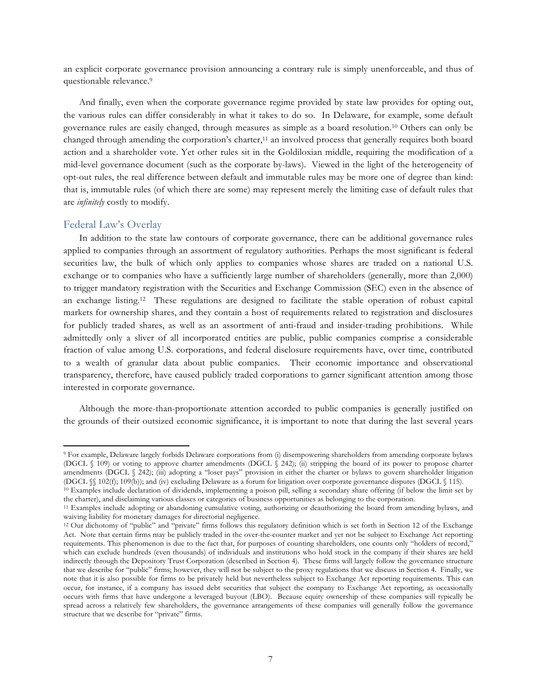an explicit corporate governance provision announcing a contrary rule is simply unenforceable, and thus of questionable relevance.<sup>9</sup>

And finally, even when the corporate governance regime provided by state law provides for opting out, the various rules can differ considerably in what it takes to do so. In Delaware, for example, some default governance rules are easily changed, through measures as simple as a board resolution.10 Others can only be changed through amending the corporation's charter,<sup>11</sup> an involved process that generally requires both board action and a shareholder vote. Yet other rules sit in the Goldiloxian middle, requiring the modification of a mid-level governance document (such as the corporate by-laws). Viewed in the light of the heterogeneity of opt-out rules, the real difference between default and immutable rules may be more one of degree than kind: that is, immutable rules (of which there are some) may represent merely the limiting case of default rules that are *infinitely* costly to modify.

#### Federal Law's Overlay

<u> 1989 - Jan Samuel Barbara, margaret e</u>

In addition to the state law contours of corporate governance, there can be additional governance rules applied to companies through an assortment of regulatory authorities. Perhaps the most significant is federal securities law, the bulk of which only applies to companies whose shares are traded on a national U.S. exchange or to companies who have a sufficiently large number of shareholders (generally, more than 2,000) to trigger mandatory registration with the Securities and Exchange Commission (SEC) even in the absence of an exchange listing. <sup>12</sup> These regulations are designed to facilitate the stable operation of robust capital markets for ownership shares, and they contain a host of requirements related to registration and disclosures for publicly traded shares, as well as an assortment of anti-fraud and insider-trading prohibitions. While admittedly only a sliver of all incorporated entities are public, public companies comprise a considerable fraction of value among U.S. corporations, and federal disclosure requirements have, over time, contributed to a wealth of granular data about public companies. Their economic importance and observational transparency, therefore, have caused publicly traded corporations to garner significant attention among those interested in corporate governance.

Although the more-than-proportionate attention accorded to public companies is generally justified on the grounds of their outsized economic significance, it is important to note that during the last several years

<sup>9</sup> For example, Delaware largely forbids Delaware corporations from (i) disempowering shareholders from amending corporate bylaws (DGCL § 109) or voting to approve charter amendments (DGCL § 242); (ii) stripping the board of its power to propose charter amendments (DGCL § 242); (iii) adopting a "loser pays" provision in either the charter or bylaws to govern shareholder litigation (DGCL §§ 102(f); 109(b)); and (iv) excluding Delaware as a forum for litigation over corporate governance disputes (DGCL § 115).

<sup>10</sup> Examples include declaration of dividends, implementing a poison pill, selling a secondary share offering (if below the limit set by the charter), and disclaiming various classes or categories of business opportunities as belonging to the corporation.

<sup>11</sup> Examples include adopting or abandoning cumulative voting, authorizing or deauthorizing the board from amending bylaws, and waiving liability for monetary damages for directorial negligence.

<sup>&</sup>lt;sup>12</sup> Our dichotomy of "public" and "private" firms follows this regulatory definition which is set forth in Section 12 of the Exchange Act. Note that certain firms may be publicly traded in the over-the-counter market and yet not be subject to Exchange Act reporting requirements. This phenomenon is due to the fact that, for purposes of counting shareholders, one counts only "holders of record," which can exclude hundreds (even thousands) of individuals and institutions who hold stock in the company if their shares are held indirectly through the Depository Trust Corporation (described in Section 4). These firms will largely follow the governance structure that we describe for "public" firms; however, they will not be subject to the proxy regulations that we discuss in Section 4. Finally, we note that it is also possible for firms to be privately held but nevertheless subject to Exchange Act reporting requirements. This can occur, for instance, if a company has issued debt securities that subject the company to Exchange Act reporting, as occasionally occurs with firms that have undergone a leveraged buyout (LBO). Because equity ownership of these companies will typically be spread across a relatively few shareholders, the governance arrangements of these companies will generally follow the governance structure that we describe for "private" firms.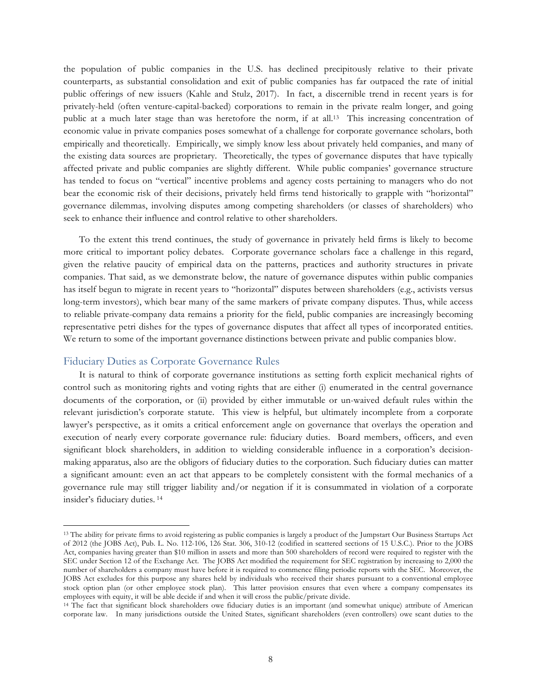the population of public companies in the U.S. has declined precipitously relative to their private counterparts, as substantial consolidation and exit of public companies has far outpaced the rate of initial public offerings of new issuers (Kahle and Stulz, 2017). In fact, a discernible trend in recent years is for privately-held (often venture-capital-backed) corporations to remain in the private realm longer, and going public at a much later stage than was heretofore the norm, if at all. <sup>13</sup> This increasing concentration of economic value in private companies poses somewhat of a challenge for corporate governance scholars, both empirically and theoretically. Empirically, we simply know less about privately held companies, and many of the existing data sources are proprietary. Theoretically, the types of governance disputes that have typically affected private and public companies are slightly different. While public companies' governance structure has tended to focus on "vertical" incentive problems and agency costs pertaining to managers who do not bear the economic risk of their decisions, privately held firms tend historically to grapple with "horizontal" governance dilemmas, involving disputes among competing shareholders (or classes of shareholders) who seek to enhance their influence and control relative to other shareholders.

To the extent this trend continues, the study of governance in privately held firms is likely to become more critical to important policy debates. Corporate governance scholars face a challenge in this regard, given the relative paucity of empirical data on the patterns, practices and authority structures in private companies. That said, as we demonstrate below, the nature of governance disputes within public companies has itself begun to migrate in recent years to "horizontal" disputes between shareholders (e.g., activists versus long-term investors), which bear many of the same markers of private company disputes. Thus, while access to reliable private-company data remains a priority for the field, public companies are increasingly becoming representative petri dishes for the types of governance disputes that affect all types of incorporated entities. We return to some of the important governance distinctions between private and public companies blow.

#### Fiduciary Duties as Corporate Governance Rules

<u> 1989 - Jan Samuel Barbara, margaret e</u>

It is natural to think of corporate governance institutions as setting forth explicit mechanical rights of control such as monitoring rights and voting rights that are either (i) enumerated in the central governance documents of the corporation, or (ii) provided by either immutable or un-waived default rules within the relevant jurisdiction's corporate statute. This view is helpful, but ultimately incomplete from a corporate lawyer's perspective, as it omits a critical enforcement angle on governance that overlays the operation and execution of nearly every corporate governance rule: fiduciary duties. Board members, officers, and even significant block shareholders, in addition to wielding considerable influence in a corporation's decisionmaking apparatus, also are the obligors of fiduciary duties to the corporation. Such fiduciary duties can matter a significant amount: even an act that appears to be completely consistent with the formal mechanics of a governance rule may still trigger liability and/or negation if it is consummated in violation of a corporate insider's fiduciary duties. <sup>14</sup>

<sup>13</sup> The ability for private firms to avoid registering as public companies is largely a product of the Jumpstart Our Business Startups Act of 2012 (the JOBS Act), Pub. L. No. 112-106, 126 Stat. 306, 310-12 (codified in scattered sections of 15 U.S.C.). Prior to the JOBS Act, companies having greater than \$10 million in assets and more than 500 shareholders of record were required to register with the SEC under Section 12 of the Exchange Act. The JOBS Act modified the requirement for SEC registration by increasing to 2,000 the number of shareholders a company must have before it is required to commence filing periodic reports with the SEC. Moreover, the JOBS Act excludes for this purpose any shares held by individuals who received their shares pursuant to a conventional employee stock option plan (or other employee stock plan). This latter provision ensures that even where a company compensates its employees with equity, it will be able decide if and when it will cross the public/private divide.

<sup>&</sup>lt;sup>14</sup> The fact that significant block shareholders owe fiduciary duties is an important (and somewhat unique) attribute of American corporate law. In many jurisdictions outside the United States, significant shareholders (even controllers) owe scant duties to the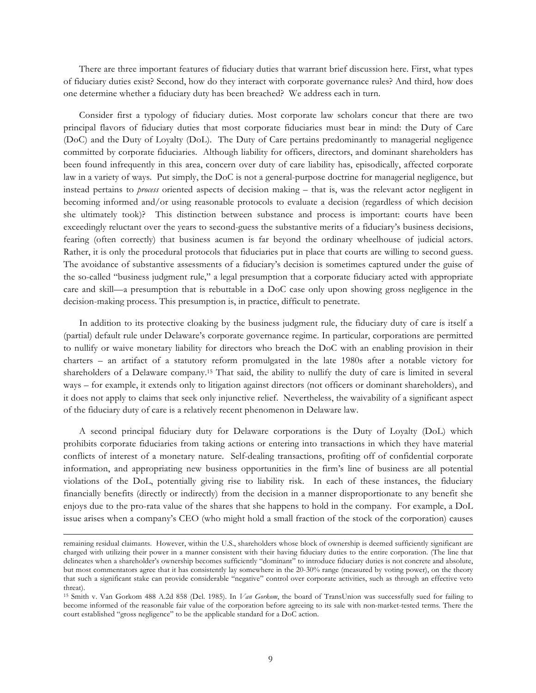There are three important features of fiduciary duties that warrant brief discussion here. First, what types of fiduciary duties exist? Second, how do they interact with corporate governance rules? And third, how does one determine whether a fiduciary duty has been breached? We address each in turn.

Consider first a typology of fiduciary duties. Most corporate law scholars concur that there are two principal flavors of fiduciary duties that most corporate fiduciaries must bear in mind: the Duty of Care (DoC) and the Duty of Loyalty (DoL). The Duty of Care pertains predominantly to managerial negligence committed by corporate fiduciaries. Although liability for officers, directors, and dominant shareholders has been found infrequently in this area, concern over duty of care liability has, episodically, affected corporate law in a variety of ways. Put simply, the DoC is not a general-purpose doctrine for managerial negligence, but instead pertains to *process* oriented aspects of decision making – that is, was the relevant actor negligent in becoming informed and/or using reasonable protocols to evaluate a decision (regardless of which decision she ultimately took)? This distinction between substance and process is important: courts have been exceedingly reluctant over the years to second-guess the substantive merits of a fiduciary's business decisions, fearing (often correctly) that business acumen is far beyond the ordinary wheelhouse of judicial actors. Rather, it is only the procedural protocols that fiduciaries put in place that courts are willing to second guess. The avoidance of substantive assessments of a fiduciary's decision is sometimes captured under the guise of the so-called "business judgment rule," a legal presumption that a corporate fiduciary acted with appropriate care and skill—a presumption that is rebuttable in a DoC case only upon showing gross negligence in the decision-making process. This presumption is, in practice, difficult to penetrate.

In addition to its protective cloaking by the business judgment rule, the fiduciary duty of care is itself a (partial) default rule under Delaware's corporate governance regime. In particular, corporations are permitted to nullify or waive monetary liability for directors who breach the DoC with an enabling provision in their charters – an artifact of a statutory reform promulgated in the late 1980s after a notable victory for shareholders of a Delaware company. <sup>15</sup> That said, the ability to nullify the duty of care is limited in several ways – for example, it extends only to litigation against directors (not officers or dominant shareholders), and it does not apply to claims that seek only injunctive relief. Nevertheless, the waivability of a significant aspect of the fiduciary duty of care is a relatively recent phenomenon in Delaware law.

A second principal fiduciary duty for Delaware corporations is the Duty of Loyalty (DoL) which prohibits corporate fiduciaries from taking actions or entering into transactions in which they have material conflicts of interest of a monetary nature. Self-dealing transactions, profiting off of confidential corporate information, and appropriating new business opportunities in the firm's line of business are all potential violations of the DoL, potentially giving rise to liability risk. In each of these instances, the fiduciary financially benefits (directly or indirectly) from the decision in a manner disproportionate to any benefit she enjoys due to the pro-rata value of the shares that she happens to hold in the company. For example, a DoL issue arises when a company's CEO (who might hold a small fraction of the stock of the corporation) causes

<u> 1989 - Andrea Santa Andrea Andrea Andrea Andrea Andrea Andrea Andrea Andrea Andrea Andrea Andrea Andrea Andr</u>

remaining residual claimants. However, within the U.S., shareholders whose block of ownership is deemed sufficiently significant are charged with utilizing their power in a manner consistent with their having fiduciary duties to the entire corporation. (The line that delineates when a shareholder's ownership becomes sufficiently "dominant" to introduce fiduciary duties is not concrete and absolute, but most commentators agree that it has consistently lay somewhere in the 20-30% range (measured by voting power), on the theory that such a significant stake can provide considerable "negative" control over corporate activities, such as through an effective veto threat).

<sup>15</sup> Smith v. Van Gorkom 488 A.2d 858 (Del. 1985). In *Van Gorkom*, the board of TransUnion was successfully sued for failing to become informed of the reasonable fair value of the corporation before agreeing to its sale with non-market-tested terms. There the court established "gross negligence" to be the applicable standard for a DoC action.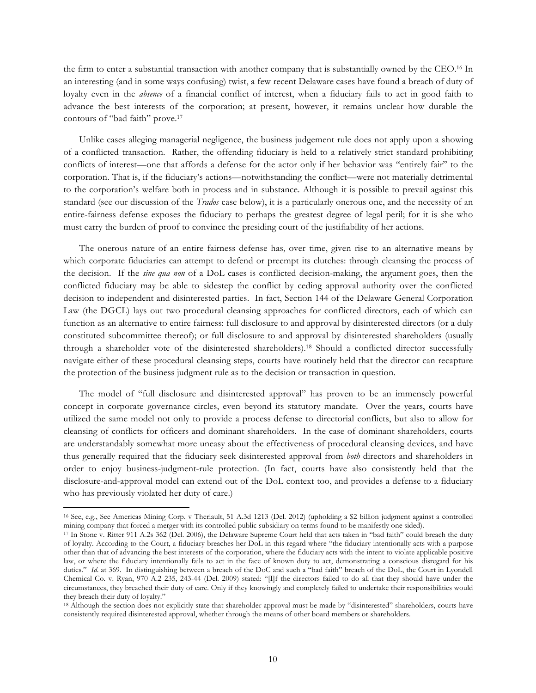the firm to enter a substantial transaction with another company that is substantially owned by the CEO.16 In an interesting (and in some ways confusing) twist, a few recent Delaware cases have found a breach of duty of loyalty even in the *absence* of a financial conflict of interest, when a fiduciary fails to act in good faith to advance the best interests of the corporation; at present, however, it remains unclear how durable the contours of "bad faith" prove. 17

Unlike cases alleging managerial negligence, the business judgement rule does not apply upon a showing of a conflicted transaction. Rather, the offending fiduciary is held to a relatively strict standard prohibiting conflicts of interest—one that affords a defense for the actor only if her behavior was "entirely fair" to the corporation. That is, if the fiduciary's actions—notwithstanding the conflict—were not materially detrimental to the corporation's welfare both in process and in substance. Although it is possible to prevail against this standard (see our discussion of the *Trados* case below), it is a particularly onerous one, and the necessity of an entire-fairness defense exposes the fiduciary to perhaps the greatest degree of legal peril; for it is she who must carry the burden of proof to convince the presiding court of the justifiability of her actions.

The onerous nature of an entire fairness defense has, over time, given rise to an alternative means by which corporate fiduciaries can attempt to defend or preempt its clutches: through cleansing the process of the decision. If the *sine qua non* of a DoL cases is conflicted decision-making, the argument goes, then the conflicted fiduciary may be able to sidestep the conflict by ceding approval authority over the conflicted decision to independent and disinterested parties. In fact, Section 144 of the Delaware General Corporation Law (the DGCL) lays out two procedural cleansing approaches for conflicted directors, each of which can function as an alternative to entire fairness: full disclosure to and approval by disinterested directors (or a duly constituted subcommittee thereof); or full disclosure to and approval by disinterested shareholders (usually through a shareholder vote of the disinterested shareholders).18 Should a conflicted director successfully navigate either of these procedural cleansing steps, courts have routinely held that the director can recapture the protection of the business judgment rule as to the decision or transaction in question.

The model of "full disclosure and disinterested approval" has proven to be an immensely powerful concept in corporate governance circles, even beyond its statutory mandate. Over the years, courts have utilized the same model not only to provide a process defense to directorial conflicts, but also to allow for cleansing of conflicts for officers and dominant shareholders. In the case of dominant shareholders, courts are understandably somewhat more uneasy about the effectiveness of procedural cleansing devices, and have thus generally required that the fiduciary seek disinterested approval from *both* directors and shareholders in order to enjoy business-judgment-rule protection. (In fact, courts have also consistently held that the disclosure-and-approval model can extend out of the DoL context too, and provides a defense to a fiduciary who has previously violated her duty of care.)

<sup>16</sup> See, e.g., See Americas Mining Corp. v Theriault, 51 A.3d 1213 (Del. 2012) (upholding a \$2 billion judgment against a controlled mining company that forced a merger with its controlled public subsidiary on terms found to be manifestly one sided).

<sup>17</sup> In Stone v. Ritter 911 A.2s 362 (Del. 2006), the Delaware Supreme Court held that acts taken in "bad faith" could breach the duty of loyalty. According to the Court, a fiduciary breaches her DoL in this regard where "the fiduciary intentionally acts with a purpose other than that of advancing the best interests of the corporation, where the fiduciary acts with the intent to violate applicable positive law, or where the fiduciary intentionally fails to act in the face of known duty to act, demonstrating a conscious disregard for his duties." *Id.* at 369. In distinguishing between a breach of the DoC and such a "bad faith" breach of the DoL, the Court in Lyondell Chemical Co. v. Ryan, 970 A.2 235, 243-44 (Del. 2009) stated: "[I]f the directors failed to do all that they should have under the circumstances, they breached their duty of care. Only if they knowingly and completely failed to undertake their responsibilities would they breach their duty of loyalty."

<sup>&</sup>lt;sup>18</sup> Although the section does not explicitly state that shareholder approval must be made by "disinterested" shareholders, courts have consistently required disinterested approval, whether through the means of other board members or shareholders.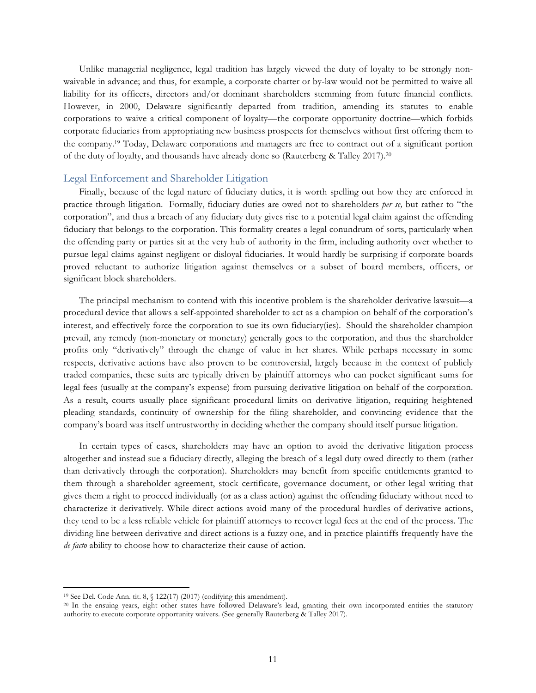Unlike managerial negligence, legal tradition has largely viewed the duty of loyalty to be strongly nonwaivable in advance; and thus, for example, a corporate charter or by-law would not be permitted to waive all liability for its officers, directors and/or dominant shareholders stemming from future financial conflicts. However, in 2000, Delaware significantly departed from tradition, amending its statutes to enable corporations to waive a critical component of loyalty—the corporate opportunity doctrine—which forbids corporate fiduciaries from appropriating new business prospects for themselves without first offering them to the company.19 Today, Delaware corporations and managers are free to contract out of a significant portion of the duty of loyalty, and thousands have already done so (Rauterberg & Talley 2017).<sup>20</sup>

#### Legal Enforcement and Shareholder Litigation

Finally, because of the legal nature of fiduciary duties, it is worth spelling out how they are enforced in practice through litigation. Formally, fiduciary duties are owed not to shareholders *per se,* but rather to "the corporation", and thus a breach of any fiduciary duty gives rise to a potential legal claim against the offending fiduciary that belongs to the corporation. This formality creates a legal conundrum of sorts, particularly when the offending party or parties sit at the very hub of authority in the firm, including authority over whether to pursue legal claims against negligent or disloyal fiduciaries. It would hardly be surprising if corporate boards proved reluctant to authorize litigation against themselves or a subset of board members, officers, or significant block shareholders.

The principal mechanism to contend with this incentive problem is the shareholder derivative lawsuit—a procedural device that allows a self-appointed shareholder to act as a champion on behalf of the corporation's interest, and effectively force the corporation to sue its own fiduciary(ies). Should the shareholder champion prevail, any remedy (non-monetary or monetary) generally goes to the corporation, and thus the shareholder profits only "derivatively" through the change of value in her shares. While perhaps necessary in some respects, derivative actions have also proven to be controversial, largely because in the context of publicly traded companies, these suits are typically driven by plaintiff attorneys who can pocket significant sums for legal fees (usually at the company's expense) from pursuing derivative litigation on behalf of the corporation. As a result, courts usually place significant procedural limits on derivative litigation, requiring heightened pleading standards, continuity of ownership for the filing shareholder, and convincing evidence that the company's board was itself untrustworthy in deciding whether the company should itself pursue litigation.

In certain types of cases, shareholders may have an option to avoid the derivative litigation process altogether and instead sue a fiduciary directly, alleging the breach of a legal duty owed directly to them (rather than derivatively through the corporation). Shareholders may benefit from specific entitlements granted to them through a shareholder agreement, stock certificate, governance document, or other legal writing that gives them a right to proceed individually (or as a class action) against the offending fiduciary without need to characterize it derivatively. While direct actions avoid many of the procedural hurdles of derivative actions, they tend to be a less reliable vehicle for plaintiff attorneys to recover legal fees at the end of the process. The dividing line between derivative and direct actions is a fuzzy one, and in practice plaintiffs frequently have the *de facto* ability to choose how to characterize their cause of action.

<u> 1989 - Jan Samuel Barbara, margaret e</u>

<sup>&</sup>lt;sup>19</sup> See Del. Code Ann. tit. 8, § 122(17) (2017) (codifying this amendment). <sup>20</sup> In the ensuing years, eight other states have followed Delaware's lead, granting their own incorporated entities the statutory authority to execute corporate opportunity waivers. (See generally Rauterberg & Talley 2017).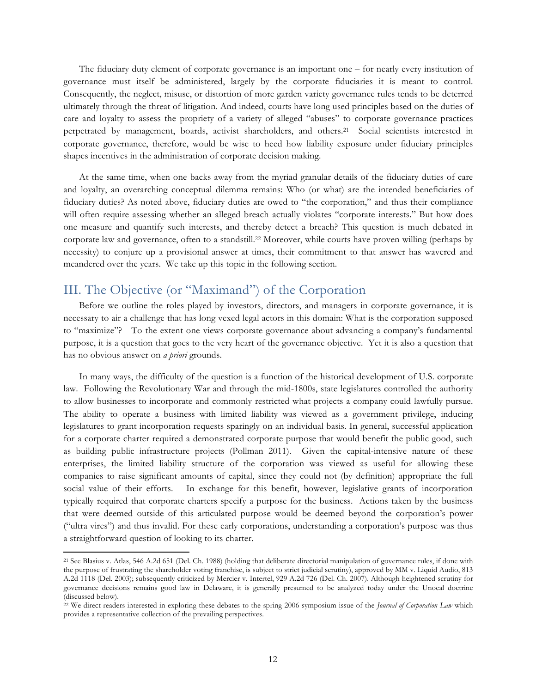The fiduciary duty element of corporate governance is an important one – for nearly every institution of governance must itself be administered, largely by the corporate fiduciaries it is meant to control. Consequently, the neglect, misuse, or distortion of more garden variety governance rules tends to be deterred ultimately through the threat of litigation. And indeed, courts have long used principles based on the duties of care and loyalty to assess the propriety of a variety of alleged "abuses" to corporate governance practices perpetrated by management, boards, activist shareholders, and others.21 Social scientists interested in corporate governance, therefore, would be wise to heed how liability exposure under fiduciary principles shapes incentives in the administration of corporate decision making.

At the same time, when one backs away from the myriad granular details of the fiduciary duties of care and loyalty, an overarching conceptual dilemma remains: Who (or what) are the intended beneficiaries of fiduciary duties? As noted above, fiduciary duties are owed to "the corporation," and thus their compliance will often require assessing whether an alleged breach actually violates "corporate interests." But how does one measure and quantify such interests, and thereby detect a breach? This question is much debated in corporate law and governance, often to a standstill.22 Moreover, while courts have proven willing (perhaps by necessity) to conjure up a provisional answer at times, their commitment to that answer has wavered and meandered over the years. We take up this topic in the following section.

## III. The Objective (or "Maximand") of the Corporation

 

Before we outline the roles played by investors, directors, and managers in corporate governance, it is necessary to air a challenge that has long vexed legal actors in this domain: What is the corporation supposed to "maximize"? To the extent one views corporate governance about advancing a company's fundamental purpose, it is a question that goes to the very heart of the governance objective. Yet it is also a question that has no obvious answer on *a priori* grounds.

In many ways, the difficulty of the question is a function of the historical development of U.S. corporate law. Following the Revolutionary War and through the mid-1800s, state legislatures controlled the authority to allow businesses to incorporate and commonly restricted what projects a company could lawfully pursue. The ability to operate a business with limited liability was viewed as a government privilege, inducing legislatures to grant incorporation requests sparingly on an individual basis. In general, successful application for a corporate charter required a demonstrated corporate purpose that would benefit the public good, such as building public infrastructure projects (Pollman 2011). Given the capital-intensive nature of these enterprises, the limited liability structure of the corporation was viewed as useful for allowing these companies to raise significant amounts of capital, since they could not (by definition) appropriate the full social value of their efforts. In exchange for this benefit, however, legislative grants of incorporation typically required that corporate charters specify a purpose for the business. Actions taken by the business that were deemed outside of this articulated purpose would be deemed beyond the corporation's power ("ultra vires") and thus invalid. For these early corporations, understanding a corporation's purpose was thus a straightforward question of looking to its charter.

<sup>21</sup> See Blasius v. Atlas, 546 A.2d 651 (Del. Ch. 1988) (holding that deliberate directorial manipulation of governance rules, if done with the purpose of frustrating the shareholder voting franchise, is subject to strict judicial scrutiny), approved by MM v. Liquid Audio, 813 A.2d 1118 (Del. 2003); subsequently criticized by Mercier v. Intertel, 929 A.2d 726 (Del. Ch. 2007). Although heightened scrutiny for governance decisions remains good law in Delaware, it is generally presumed to be analyzed today under the Unocal doctrine (discussed below).

<sup>&</sup>lt;sup>22</sup> We direct readers interested in exploring these debates to the spring 2006 symposium issue of the *Journal of Corporation Law* which provides a representative collection of the prevailing perspectives.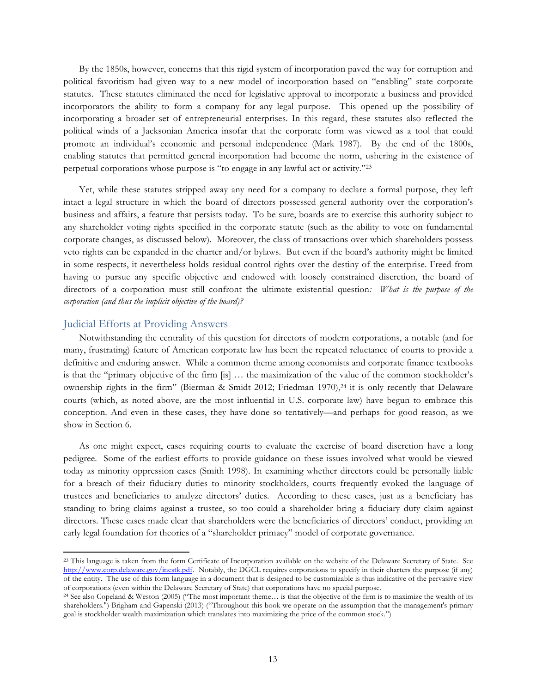By the 1850s, however, concerns that this rigid system of incorporation paved the way for corruption and political favoritism had given way to a new model of incorporation based on "enabling" state corporate statutes. These statutes eliminated the need for legislative approval to incorporate a business and provided incorporators the ability to form a company for any legal purpose. This opened up the possibility of incorporating a broader set of entrepreneurial enterprises. In this regard, these statutes also reflected the political winds of a Jacksonian America insofar that the corporate form was viewed as a tool that could promote an individual's economic and personal independence (Mark 1987). By the end of the 1800s, enabling statutes that permitted general incorporation had become the norm, ushering in the existence of perpetual corporations whose purpose is "to engage in any lawful act or activity."23

Yet, while these statutes stripped away any need for a company to declare a formal purpose, they left intact a legal structure in which the board of directors possessed general authority over the corporation's business and affairs, a feature that persists today. To be sure, boards are to exercise this authority subject to any shareholder voting rights specified in the corporate statute (such as the ability to vote on fundamental corporate changes, as discussed below). Moreover, the class of transactions over which shareholders possess veto rights can be expanded in the charter and/or bylaws. But even if the board's authority might be limited in some respects, it nevertheless holds residual control rights over the destiny of the enterprise. Freed from having to pursue any specific objective and endowed with loosely constrained discretion, the board of directors of a corporation must still confront the ultimate existential question*: What is the purpose of the corporation (and thus the implicit objective of the board)?*

#### Judicial Efforts at Providing Answers

 

Notwithstanding the centrality of this question for directors of modern corporations, a notable (and for many, frustrating) feature of American corporate law has been the repeated reluctance of courts to provide a definitive and enduring answer. While a common theme among economists and corporate finance textbooks is that the "primary objective of the firm [is] … the maximization of the value of the common stockholder's ownership rights in the firm" (Bierman & Smidt 2012; Friedman 1970),<sup>24</sup> it is only recently that Delaware courts (which, as noted above, are the most influential in U.S. corporate law) have begun to embrace this conception. And even in these cases, they have done so tentatively—and perhaps for good reason, as we show in Section 6.

As one might expect, cases requiring courts to evaluate the exercise of board discretion have a long pedigree. Some of the earliest efforts to provide guidance on these issues involved what would be viewed today as minority oppression cases (Smith 1998). In examining whether directors could be personally liable for a breach of their fiduciary duties to minority stockholders, courts frequently evoked the language of trustees and beneficiaries to analyze directors' duties. According to these cases, just as a beneficiary has standing to bring claims against a trustee, so too could a shareholder bring a fiduciary duty claim against directors. These cases made clear that shareholders were the beneficiaries of directors' conduct, providing an early legal foundation for theories of a "shareholder primacy" model of corporate governance.

<sup>23</sup> This language is taken from the form Certificate of Incorporation available on the website of the Delaware Secretary of State. See http://www.corp.delaware.gov/incstk.pdf. Notably, the DGCL requires corporations to specify in their charters the purpose (if any) of the entity. The use of this form language in a document that is designed to be customizable is thus indicative of the pervasive view of corporations (even within the Delaware Secretary of State) that corporations have no special purpose.

<sup>24</sup> See also Copeland & Weston (2005) ("The most important theme… is that the objective of the firm is to maximize the wealth of its shareholders.") Brigham and Gapenski (2013) ("Throughout this book we operate on the assumption that the management's primary goal is stockholder wealth maximization which translates into maximizing the price of the common stock.")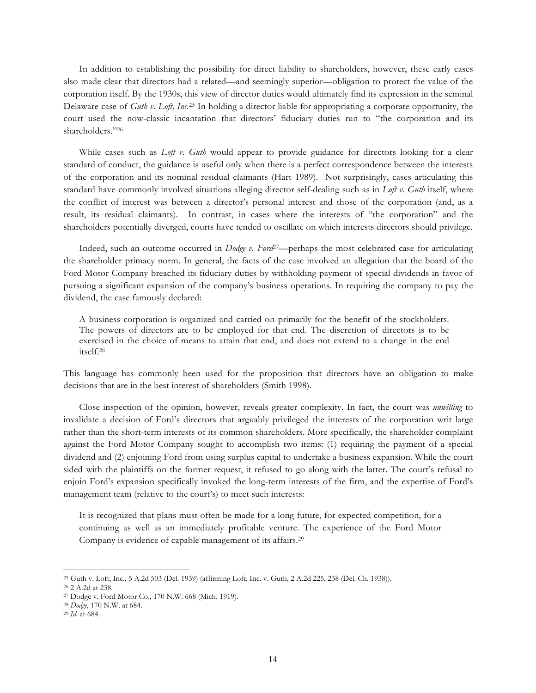In addition to establishing the possibility for direct liability to shareholders, however, these early cases also made clear that directors had a related—and seemingly superior—obligation to protect the value of the corporation itself. By the 1930s, this view of director duties would ultimately find its expression in the seminal Delaware case of *Guth v. Loft, Inc.*<sup>25</sup> In holding a director liable for appropriating a corporate opportunity, the court used the now-classic incantation that directors' fiduciary duties run to "the corporation and its shareholders."26

While cases such as *Loft v. Guth* would appear to provide guidance for directors looking for a clear standard of conduct, the guidance is useful only when there is a perfect correspondence between the interests of the corporation and its nominal residual claimants (Hart 1989). Not surprisingly, cases articulating this standard have commonly involved situations alleging director self-dealing such as in *Loft v. Guth* itself, where the conflict of interest was between a director's personal interest and those of the corporation (and, as a result, its residual claimants). In contrast, in cases where the interests of "the corporation" and the shareholders potentially diverged, courts have tended to oscillate on which interests directors should privilege.

Indeed, such an outcome occurred in *Dodge v. Ford*27—perhaps the most celebrated case for articulating the shareholder primacy norm. In general, the facts of the case involved an allegation that the board of the Ford Motor Company breached its fiduciary duties by withholding payment of special dividends in favor of pursuing a significant expansion of the company's business operations. In requiring the company to pay the dividend, the case famously declared:

A business corporation is organized and carried on primarily for the benefit of the stockholders. The powers of directors are to be employed for that end. The discretion of directors is to be exercised in the choice of means to attain that end, and does not extend to a change in the end itself.28

This language has commonly been used for the proposition that directors have an obligation to make decisions that are in the best interest of shareholders (Smith 1998).

Close inspection of the opinion, however, reveals greater complexity. In fact, the court was *unwilling* to invalidate a decision of Ford's directors that arguably privileged the interests of the corporation writ large rather than the short-term interests of its common shareholders. More specifically, the shareholder complaint against the Ford Motor Company sought to accomplish two items: (1) requiring the payment of a special dividend and (2) enjoining Ford from using surplus capital to undertake a business expansion. While the court sided with the plaintiffs on the former request, it refused to go along with the latter. The court's refusal to enjoin Ford's expansion specifically invoked the long-term interests of the firm, and the expertise of Ford's management team (relative to the court's) to meet such interests:

It is recognized that plans must often be made for a long future, for expected competition, for a continuing as well as an immediately profitable venture. The experience of the Ford Motor Company is evidence of capable management of its affairs.29

<sup>25</sup> Guth v. Loft, Inc., 5 A.2d 503 (Del. 1939) (affirming Loft, Inc. v. Guth, 2 A.2d 225, 238 (Del. Ch. 1938)).

<sup>26</sup> 2 A.2d at 238.

<sup>27</sup> Dodge v. Ford Motor Co., 170 N.W. 668 (Mich. 1919).

<sup>28</sup> *Dodge*, 170 N.W. at 684.

<sup>29</sup> *Id.* at 684.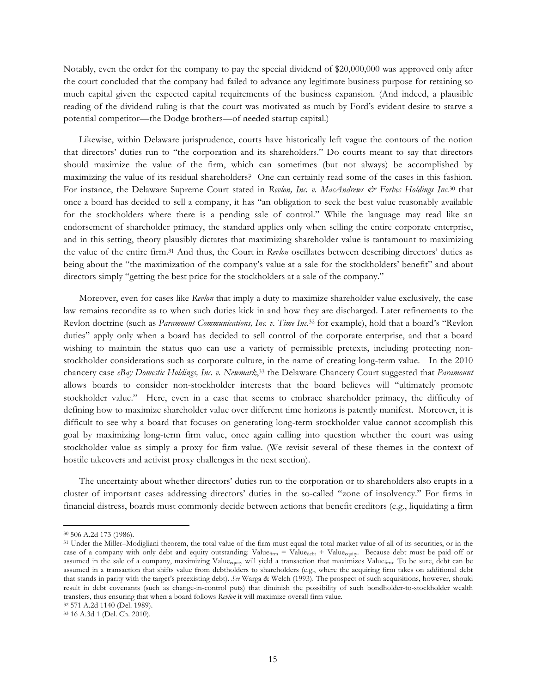Notably, even the order for the company to pay the special dividend of \$20,000,000 was approved only after the court concluded that the company had failed to advance any legitimate business purpose for retaining so much capital given the expected capital requirements of the business expansion. (And indeed, a plausible reading of the dividend ruling is that the court was motivated as much by Ford's evident desire to starve a potential competitor—the Dodge brothers—of needed startup capital.)

Likewise, within Delaware jurisprudence, courts have historically left vague the contours of the notion that directors' duties run to "the corporation and its shareholders." Do courts meant to say that directors should maximize the value of the firm, which can sometimes (but not always) be accomplished by maximizing the value of its residual shareholders? One can certainly read some of the cases in this fashion. For instance, the Delaware Supreme Court stated in *Revlon, Inc. v. MacAndrews & Forbes Holdings Inc.*<sup>30</sup> that once a board has decided to sell a company, it has "an obligation to seek the best value reasonably available for the stockholders where there is a pending sale of control." While the language may read like an endorsement of shareholder primacy, the standard applies only when selling the entire corporate enterprise, and in this setting, theory plausibly dictates that maximizing shareholder value is tantamount to maximizing the value of the entire firm.31 And thus, the Court in *Revlon* oscillates between describing directors' duties as being about the "the maximization of the company's value at a sale for the stockholders' benefit" and about directors simply "getting the best price for the stockholders at a sale of the company."

Moreover, even for cases like *Revlon* that imply a duty to maximize shareholder value exclusively, the case law remains recondite as to when such duties kick in and how they are discharged. Later refinements to the Revlon doctrine (such as *Paramount Communications, Inc. v. Time Inc.*<sup>32</sup> for example), hold that a board's "Revlon duties" apply only when a board has decided to sell control of the corporate enterprise, and that a board wishing to maintain the status quo can use a variety of permissible pretexts, including protecting nonstockholder considerations such as corporate culture, in the name of creating long-term value. In the 2010 chancery case *eBay Domestic Holdings, Inc. v. Newmark*, <sup>33</sup> the Delaware Chancery Court suggested that *Paramount* allows boards to consider non-stockholder interests that the board believes will "ultimately promote stockholder value." Here, even in a case that seems to embrace shareholder primacy, the difficulty of defining how to maximize shareholder value over different time horizons is patently manifest. Moreover, it is difficult to see why a board that focuses on generating long-term stockholder value cannot accomplish this goal by maximizing long-term firm value, once again calling into question whether the court was using stockholder value as simply a proxy for firm value. (We revisit several of these themes in the context of hostile takeovers and activist proxy challenges in the next section).

The uncertainty about whether directors' duties run to the corporation or to shareholders also erupts in a cluster of important cases addressing directors' duties in the so-called "zone of insolvency." For firms in financial distress, boards must commonly decide between actions that benefit creditors (e.g., liquidating a firm

<sup>30</sup> 506 A.2d 173 (1986).

<sup>31</sup> Under the Miller–Modigliani theorem, the total value of the firm must equal the total market value of all of its securities, or in the case of a company with only debt and equity outstanding: Value<sub>firm</sub> = Value<sub>debt</sub> + Value<sub>equity</sub>. Because debt must be paid off or assumed in the sale of a company, maximizing Value<sub>equity</sub> will yield a transaction that maximizes Value<sub>firm</sub>. To be sure, debt can be assumed in a transaction that shifts value from debtholders to shareholders (e.g., where the acquiring firm takes on additional debt that stands in parity with the target's preexisting debt). *See* Warga & Welch (1993). The prospect of such acquisitions, however, should result in debt covenants (such as change-in-control puts) that diminish the possibility of such bondholder-to-stockholder wealth transfers, thus ensuring that when a board follows *Revlon* it will maximize overall firm value.

<sup>32</sup> 571 A.2d 1140 (Del. 1989).

<sup>33</sup> 16 A.3d 1 (Del. Ch. 2010).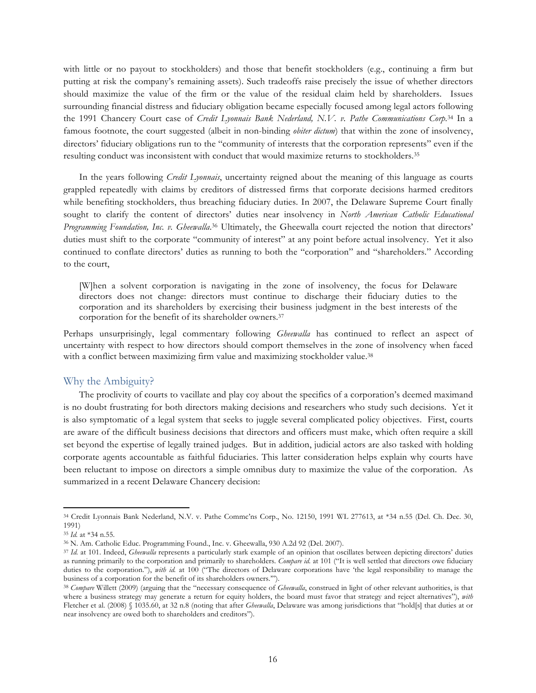with little or no payout to stockholders) and those that benefit stockholders (e.g., continuing a firm but putting at risk the company's remaining assets). Such tradeoffs raise precisely the issue of whether directors should maximize the value of the firm or the value of the residual claim held by shareholders. Issues surrounding financial distress and fiduciary obligation became especially focused among legal actors following the 1991 Chancery Court case of *Credit Lyonnais Bank Nederland, N.V. v. Pathe Communications Corp*.34 In a famous footnote, the court suggested (albeit in non-binding *obiter dictum*) that within the zone of insolvency, directors' fiduciary obligations run to the "community of interests that the corporation represents" even if the resulting conduct was inconsistent with conduct that would maximize returns to stockholders.35

In the years following *Credit Lyonnais*, uncertainty reigned about the meaning of this language as courts grappled repeatedly with claims by creditors of distressed firms that corporate decisions harmed creditors while benefiting stockholders, thus breaching fiduciary duties. In 2007, the Delaware Supreme Court finally sought to clarify the content of directors' duties near insolvency in *North American Catholic Educational Programming Foundation, Inc. v. Gheewalla*. <sup>36</sup> Ultimately, the Gheewalla court rejected the notion that directors' duties must shift to the corporate "community of interest" at any point before actual insolvency. Yet it also continued to conflate directors' duties as running to both the "corporation" and "shareholders." According to the court,

[W]hen a solvent corporation is navigating in the zone of insolvency, the focus for Delaware directors does not change: directors must continue to discharge their fiduciary duties to the corporation and its shareholders by exercising their business judgment in the best interests of the corporation for the benefit of its shareholder owners.37

Perhaps unsurprisingly, legal commentary following *Gheewalla* has continued to reflect an aspect of uncertainty with respect to how directors should comport themselves in the zone of insolvency when faced with a conflict between maximizing firm value and maximizing stockholder value.<sup>38</sup>

### Why the Ambiguity?

 

The proclivity of courts to vacillate and play coy about the specifics of a corporation's deemed maximand is no doubt frustrating for both directors making decisions and researchers who study such decisions. Yet it is also symptomatic of a legal system that seeks to juggle several complicated policy objectives. First, courts are aware of the difficult business decisions that directors and officers must make, which often require a skill set beyond the expertise of legally trained judges. But in addition, judicial actors are also tasked with holding corporate agents accountable as faithful fiduciaries. This latter consideration helps explain why courts have been reluctant to impose on directors a simple omnibus duty to maximize the value of the corporation. As summarized in a recent Delaware Chancery decision:

<sup>34</sup> Credit Lyonnais Bank Nederland, N.V. v. Pathe Commc'ns Corp., No. 12150, 1991 WL 277613, at \*34 n.55 (Del. Ch. Dec. 30, 1991)

<sup>35</sup> *Id.* at \*34 n.55.

<sup>36</sup> N. Am. Catholic Educ. Programming Found., Inc. v. Gheewalla, 930 A.2d 92 (Del. 2007).

<sup>37</sup> *Id.* at 101. Indeed, *Gheewalla* represents a particularly stark example of an opinion that oscillates between depicting directors' duties as running primarily to the corporation and primarily to shareholders. *Compare id.* at 101 ("It is well settled that directors owe fiduciary duties to the corporation."), *with id.* at 100 ("The directors of Delaware corporations have 'the legal responsibility to manage the business of a corporation for the benefit of its shareholders owners.'").

<sup>38</sup> *Compare* Willett (2009) (arguing that the "necessary consequence of *Gheewalla*, construed in light of other relevant authorities, is that where a business strategy may generate a return for equity holders, the board must favor that strategy and reject alternatives"), *with* Fletcher et al. (2008) § 1035.60, at 32 n.8 (noting that after *Gheewalla*, Delaware was among jurisdictions that "hold[s] that duties at or near insolvency are owed both to shareholders and creditors").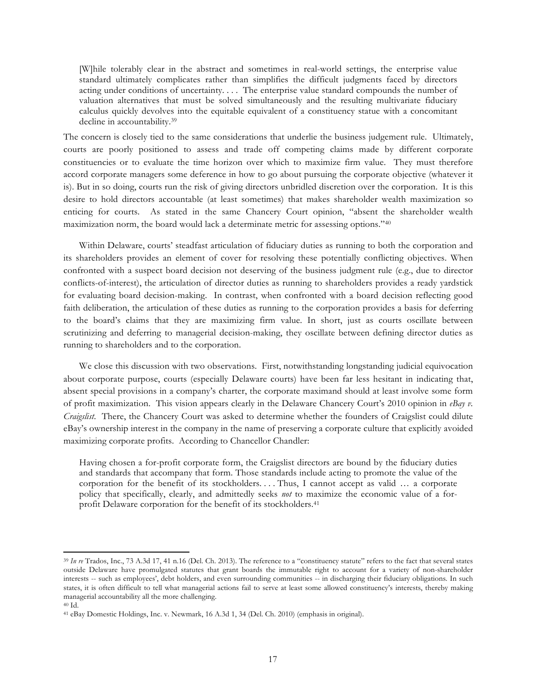[W]hile tolerably clear in the abstract and sometimes in real-world settings, the enterprise value standard ultimately complicates rather than simplifies the difficult judgments faced by directors acting under conditions of uncertainty. . . . The enterprise value standard compounds the number of valuation alternatives that must be solved simultaneously and the resulting multivariate fiduciary calculus quickly devolves into the equitable equivalent of a constituency statue with a concomitant decline in accountability.39

The concern is closely tied to the same considerations that underlie the business judgement rule. Ultimately, courts are poorly positioned to assess and trade off competing claims made by different corporate constituencies or to evaluate the time horizon over which to maximize firm value. They must therefore accord corporate managers some deference in how to go about pursuing the corporate objective (whatever it is). But in so doing, courts run the risk of giving directors unbridled discretion over the corporation. It is this desire to hold directors accountable (at least sometimes) that makes shareholder wealth maximization so enticing for courts. As stated in the same Chancery Court opinion, "absent the shareholder wealth maximization norm, the board would lack a determinate metric for assessing options."40

Within Delaware, courts' steadfast articulation of fiduciary duties as running to both the corporation and its shareholders provides an element of cover for resolving these potentially conflicting objectives. When confronted with a suspect board decision not deserving of the business judgment rule (e.g., due to director conflicts-of-interest), the articulation of director duties as running to shareholders provides a ready yardstick for evaluating board decision-making. In contrast, when confronted with a board decision reflecting good faith deliberation, the articulation of these duties as running to the corporation provides a basis for deferring to the board's claims that they are maximizing firm value. In short, just as courts oscillate between scrutinizing and deferring to managerial decision-making, they oscillate between defining director duties as running to shareholders and to the corporation.

We close this discussion with two observations. First, notwithstanding longstanding judicial equivocation about corporate purpose, courts (especially Delaware courts) have been far less hesitant in indicating that, absent special provisions in a company's charter, the corporate maximand should at least involve some form of profit maximization. This vision appears clearly in the Delaware Chancery Court's 2010 opinion in *eBay v. Craigslist*. There, the Chancery Court was asked to determine whether the founders of Craigslist could dilute eBay's ownership interest in the company in the name of preserving a corporate culture that explicitly avoided maximizing corporate profits. According to Chancellor Chandler:

Having chosen a for-profit corporate form, the Craigslist directors are bound by the fiduciary duties and standards that accompany that form. Those standards include acting to promote the value of the corporation for the benefit of its stockholders. . . . Thus, I cannot accept as valid … a corporate policy that specifically, clearly, and admittedly seeks *not* to maximize the economic value of a forprofit Delaware corporation for the benefit of its stockholders.41

<sup>39</sup> *In re* Trados, Inc., 73 A.3d 17, 41 n.16 (Del. Ch. 2013). The reference to a "constituency statute" refers to the fact that several states outside Delaware have promulgated statutes that grant boards the immutable right to account for a variety of non-shareholder interests -- such as employees', debt holders, and even surrounding communities -- in discharging their fiduciary obligations. In such states, it is often difficult to tell what managerial actions fail to serve at least some allowed constituency's interests, thereby making managerial accountability all the more challenging. 40 Id.

<sup>41</sup> eBay Domestic Holdings, Inc. v. Newmark, 16 A.3d 1, 34 (Del. Ch. 2010) (emphasis in original).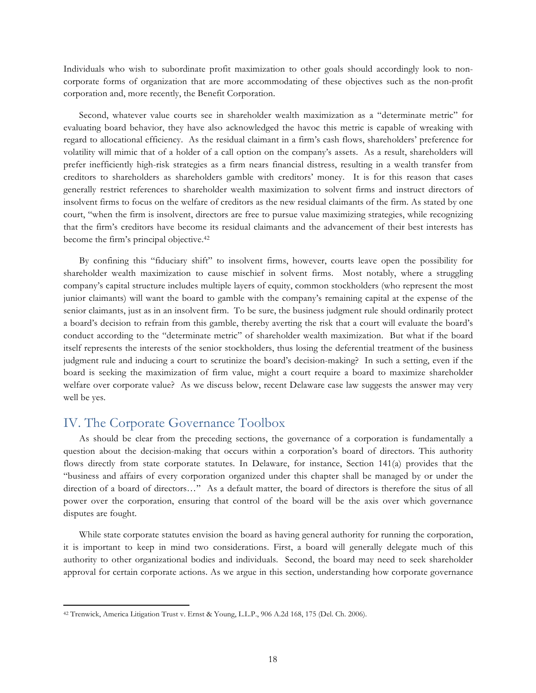Individuals who wish to subordinate profit maximization to other goals should accordingly look to noncorporate forms of organization that are more accommodating of these objectives such as the non-profit corporation and, more recently, the Benefit Corporation.

Second, whatever value courts see in shareholder wealth maximization as a "determinate metric" for evaluating board behavior, they have also acknowledged the havoc this metric is capable of wreaking with regard to allocational efficiency. As the residual claimant in a firm's cash flows, shareholders' preference for volatility will mimic that of a holder of a call option on the company's assets. As a result, shareholders will prefer inefficiently high-risk strategies as a firm nears financial distress, resulting in a wealth transfer from creditors to shareholders as shareholders gamble with creditors' money. It is for this reason that cases generally restrict references to shareholder wealth maximization to solvent firms and instruct directors of insolvent firms to focus on the welfare of creditors as the new residual claimants of the firm. As stated by one court, "when the firm is insolvent, directors are free to pursue value maximizing strategies, while recognizing that the firm's creditors have become its residual claimants and the advancement of their best interests has become the firm's principal objective.42

By confining this "fiduciary shift" to insolvent firms, however, courts leave open the possibility for shareholder wealth maximization to cause mischief in solvent firms. Most notably, where a struggling company's capital structure includes multiple layers of equity, common stockholders (who represent the most junior claimants) will want the board to gamble with the company's remaining capital at the expense of the senior claimants, just as in an insolvent firm. To be sure, the business judgment rule should ordinarily protect a board's decision to refrain from this gamble, thereby averting the risk that a court will evaluate the board's conduct according to the "determinate metric" of shareholder wealth maximization. But what if the board itself represents the interests of the senior stockholders, thus losing the deferential treatment of the business judgment rule and inducing a court to scrutinize the board's decision-making? In such a setting, even if the board is seeking the maximization of firm value, might a court require a board to maximize shareholder welfare over corporate value? As we discuss below, recent Delaware case law suggests the answer may very well be yes.

### IV. The Corporate Governance Toolbox

 

As should be clear from the preceding sections, the governance of a corporation is fundamentally a question about the decision-making that occurs within a corporation's board of directors. This authority flows directly from state corporate statutes. In Delaware, for instance, Section 141(a) provides that the "business and affairs of every corporation organized under this chapter shall be managed by or under the direction of a board of directors…" As a default matter, the board of directors is therefore the situs of all power over the corporation, ensuring that control of the board will be the axis over which governance disputes are fought.

While state corporate statutes envision the board as having general authority for running the corporation, it is important to keep in mind two considerations. First, a board will generally delegate much of this authority to other organizational bodies and individuals. Second, the board may need to seek shareholder approval for certain corporate actions. As we argue in this section, understanding how corporate governance

<sup>42</sup> Trenwick, America Litigation Trust v. Ernst & Young, L.L.P., 906 A.2d 168, 175 (Del. Ch. 2006).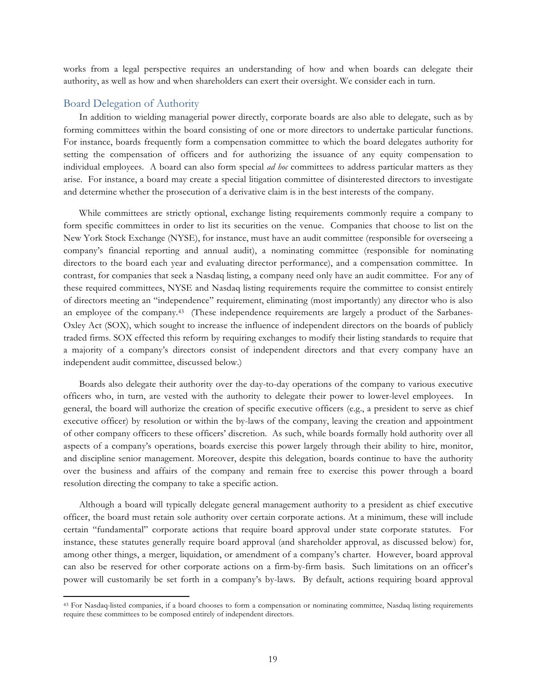works from a legal perspective requires an understanding of how and when boards can delegate their authority, as well as how and when shareholders can exert their oversight. We consider each in turn.

#### Board Delegation of Authority

<u> 1989 - Johann Stein, fransk politiker (d. 1989)</u>

In addition to wielding managerial power directly, corporate boards are also able to delegate, such as by forming committees within the board consisting of one or more directors to undertake particular functions. For instance, boards frequently form a compensation committee to which the board delegates authority for setting the compensation of officers and for authorizing the issuance of any equity compensation to individual employees. A board can also form special *ad hoc* committees to address particular matters as they arise. For instance, a board may create a special litigation committee of disinterested directors to investigate and determine whether the prosecution of a derivative claim is in the best interests of the company.

While committees are strictly optional, exchange listing requirements commonly require a company to form specific committees in order to list its securities on the venue. Companies that choose to list on the New York Stock Exchange (NYSE), for instance, must have an audit committee (responsible for overseeing a company's financial reporting and annual audit), a nominating committee (responsible for nominating directors to the board each year and evaluating director performance), and a compensation committee. In contrast, for companies that seek a Nasdaq listing, a company need only have an audit committee. For any of these required committees, NYSE and Nasdaq listing requirements require the committee to consist entirely of directors meeting an "independence" requirement, eliminating (most importantly) any director who is also an employee of the company.43 (These independence requirements are largely a product of the Sarbanes-Oxley Act (SOX), which sought to increase the influence of independent directors on the boards of publicly traded firms. SOX effected this reform by requiring exchanges to modify their listing standards to require that a majority of a company's directors consist of independent directors and that every company have an independent audit committee, discussed below.)

Boards also delegate their authority over the day-to-day operations of the company to various executive officers who, in turn, are vested with the authority to delegate their power to lower-level employees. In general, the board will authorize the creation of specific executive officers (e.g., a president to serve as chief executive officer) by resolution or within the by-laws of the company, leaving the creation and appointment of other company officers to these officers' discretion. As such, while boards formally hold authority over all aspects of a company's operations, boards exercise this power largely through their ability to hire, monitor, and discipline senior management. Moreover, despite this delegation, boards continue to have the authority over the business and affairs of the company and remain free to exercise this power through a board resolution directing the company to take a specific action.

Although a board will typically delegate general management authority to a president as chief executive officer, the board must retain sole authority over certain corporate actions. At a minimum, these will include certain "fundamental" corporate actions that require board approval under state corporate statutes. For instance, these statutes generally require board approval (and shareholder approval, as discussed below) for, among other things, a merger, liquidation, or amendment of a company's charter. However, board approval can also be reserved for other corporate actions on a firm-by-firm basis. Such limitations on an officer's power will customarily be set forth in a company's by-laws. By default, actions requiring board approval

<sup>43</sup> For Nasdaq-listed companies, if a board chooses to form a compensation or nominating committee, Nasdaq listing requirements require these committees to be composed entirely of independent directors.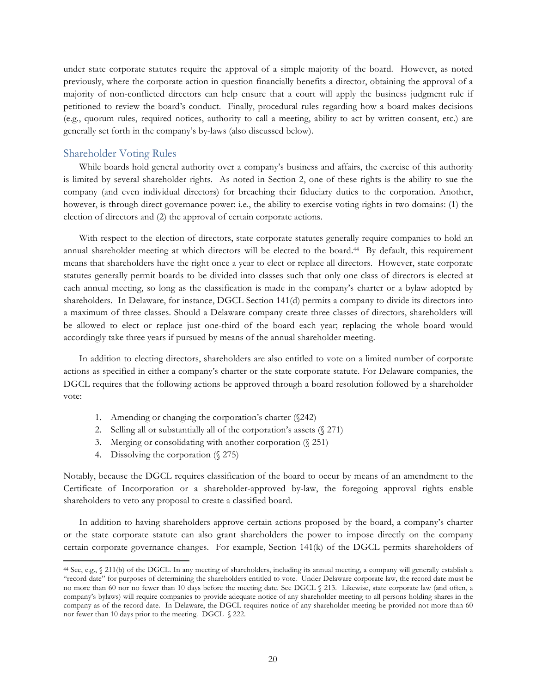under state corporate statutes require the approval of a simple majority of the board. However, as noted previously, where the corporate action in question financially benefits a director, obtaining the approval of a majority of non-conflicted directors can help ensure that a court will apply the business judgment rule if petitioned to review the board's conduct. Finally, procedural rules regarding how a board makes decisions (e.g., quorum rules, required notices, authority to call a meeting, ability to act by written consent, etc.) are generally set forth in the company's by-laws (also discussed below).

#### Shareholder Voting Rules

While boards hold general authority over a company's business and affairs, the exercise of this authority is limited by several shareholder rights. As noted in Section 2, one of these rights is the ability to sue the company (and even individual directors) for breaching their fiduciary duties to the corporation. Another, however, is through direct governance power: i.e., the ability to exercise voting rights in two domains: (1) the election of directors and (2) the approval of certain corporate actions.

With respect to the election of directors, state corporate statutes generally require companies to hold an annual shareholder meeting at which directors will be elected to the board.44 By default, this requirement means that shareholders have the right once a year to elect or replace all directors. However, state corporate statutes generally permit boards to be divided into classes such that only one class of directors is elected at each annual meeting, so long as the classification is made in the company's charter or a bylaw adopted by shareholders. In Delaware, for instance, DGCL Section 141(d) permits a company to divide its directors into a maximum of three classes. Should a Delaware company create three classes of directors, shareholders will be allowed to elect or replace just one-third of the board each year; replacing the whole board would accordingly take three years if pursued by means of the annual shareholder meeting.

In addition to electing directors, shareholders are also entitled to vote on a limited number of corporate actions as specified in either a company's charter or the state corporate statute. For Delaware companies, the DGCL requires that the following actions be approved through a board resolution followed by a shareholder vote:

- 1. Amending or changing the corporation's charter (§242)
- 2. Selling all or substantially all of the corporation's assets (§ 271)
- 3. Merging or consolidating with another corporation (§ 251)
- 4. Dissolving the corporation (§ 275)

 

Notably, because the DGCL requires classification of the board to occur by means of an amendment to the Certificate of Incorporation or a shareholder-approved by-law, the foregoing approval rights enable shareholders to veto any proposal to create a classified board.

In addition to having shareholders approve certain actions proposed by the board, a company's charter or the state corporate statute can also grant shareholders the power to impose directly on the company certain corporate governance changes. For example, Section 141(k) of the DGCL permits shareholders of

<sup>44</sup> See, e.g., § 211(b) of the DGCL. In any meeting of shareholders, including its annual meeting, a company will generally establish a "record date" for purposes of determining the shareholders entitled to vote. Under Delaware corporate law, the record date must be no more than 60 nor no fewer than 10 days before the meeting date. See DGCL § 213. Likewise, state corporate law (and often, a company's bylaws) will require companies to provide adequate notice of any shareholder meeting to all persons holding shares in the company as of the record date. In Delaware, the DGCL requires notice of any shareholder meeting be provided not more than 60 nor fewer than 10 days prior to the meeting. DGCL § 222.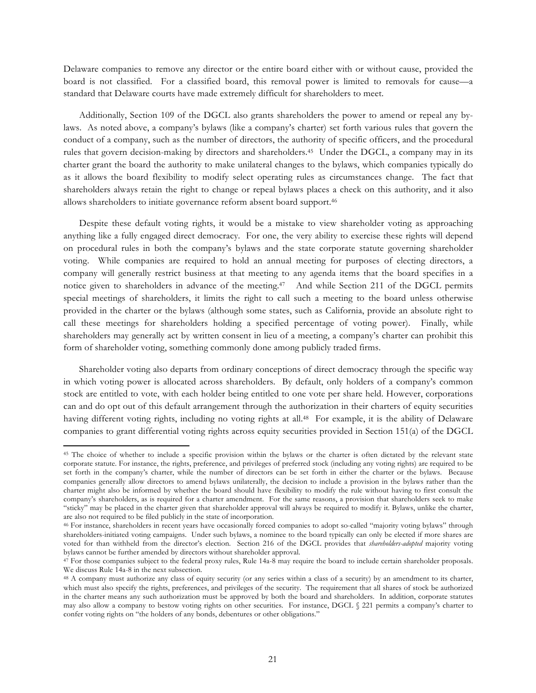Delaware companies to remove any director or the entire board either with or without cause, provided the board is not classified. For a classified board, this removal power is limited to removals for cause—a standard that Delaware courts have made extremely difficult for shareholders to meet.

Additionally, Section 109 of the DGCL also grants shareholders the power to amend or repeal any bylaws. As noted above, a company's bylaws (like a company's charter) set forth various rules that govern the conduct of a company, such as the number of directors, the authority of specific officers, and the procedural rules that govern decision-making by directors and shareholders.45 Under the DGCL, a company may in its charter grant the board the authority to make unilateral changes to the bylaws, which companies typically do as it allows the board flexibility to modify select operating rules as circumstances change. The fact that shareholders always retain the right to change or repeal bylaws places a check on this authority, and it also allows shareholders to initiate governance reform absent board support.46

Despite these default voting rights, it would be a mistake to view shareholder voting as approaching anything like a fully engaged direct democracy. For one, the very ability to exercise these rights will depend on procedural rules in both the company's bylaws and the state corporate statute governing shareholder voting. While companies are required to hold an annual meeting for purposes of electing directors, a company will generally restrict business at that meeting to any agenda items that the board specifies in a notice given to shareholders in advance of the meeting.47 And while Section 211 of the DGCL permits special meetings of shareholders, it limits the right to call such a meeting to the board unless otherwise provided in the charter or the bylaws (although some states, such as California, provide an absolute right to call these meetings for shareholders holding a specified percentage of voting power). Finally, while shareholders may generally act by written consent in lieu of a meeting, a company's charter can prohibit this form of shareholder voting, something commonly done among publicly traded firms.

Shareholder voting also departs from ordinary conceptions of direct democracy through the specific way in which voting power is allocated across shareholders. By default, only holders of a company's common stock are entitled to vote, with each holder being entitled to one vote per share held. However, corporations can and do opt out of this default arrangement through the authorization in their charters of equity securities having different voting rights, including no voting rights at all. 48 For example, it is the ability of Delaware companies to grant differential voting rights across equity securities provided in Section 151(a) of the DGCL

<sup>&</sup>lt;sup>45</sup> The choice of whether to include a specific provision within the bylaws or the charter is often dictated by the relevant state corporate statute. For instance, the rights, preference, and privileges of preferred stock (including any voting rights) are required to be set forth in the company's charter, while the number of directors can be set forth in either the charter or the bylaws. Because companies generally allow directors to amend bylaws unilaterally, the decision to include a provision in the bylaws rather than the charter might also be informed by whether the board should have flexibility to modify the rule without having to first consult the company's shareholders, as is required for a charter amendment. For the same reasons, a provision that shareholders seek to make "sticky" may be placed in the charter given that shareholder approval will always be required to modify it. Bylaws, unlike the charter, are also not required to be filed publicly in the state of incorporation.

<sup>46</sup> For instance, shareholders in recent years have occasionally forced companies to adopt so-called "majority voting bylaws" through shareholders-initiated voting campaigns. Under such bylaws, a nominee to the board typically can only be elected if more shares are voted for than withheld from the director's election. Section 216 of the DGCL provides that *shareholders-adopted* majority voting bylaws cannot be further amended by directors without shareholder approval.

<sup>47</sup> For those companies subject to the federal proxy rules, Rule 14a-8 may require the board to include certain shareholder proposals. We discuss Rule 14a-8 in the next subsection.

<sup>48</sup> A company must authorize any class of equity security (or any series within a class of a security) by an amendment to its charter, which must also specify the rights, preferences, and privileges of the security. The requirement that all shares of stock be authorized in the charter means any such authorization must be approved by both the board and shareholders. In addition, corporate statutes may also allow a company to bestow voting rights on other securities. For instance, DGCL § 221 permits a company's charter to confer voting rights on "the holders of any bonds, debentures or other obligations."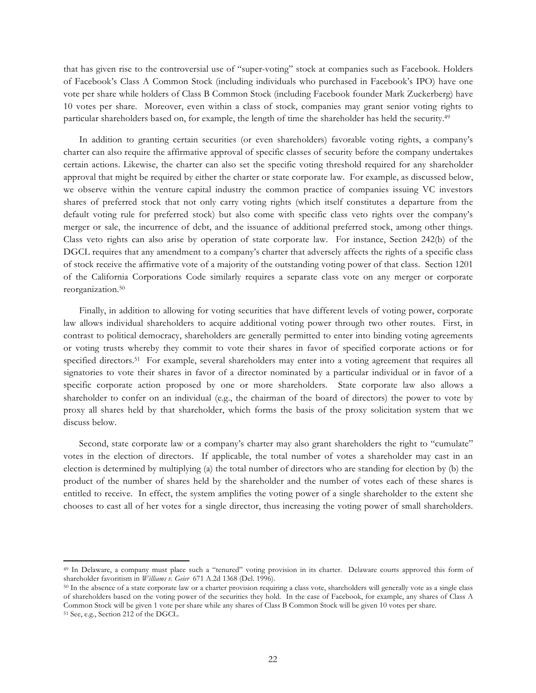that has given rise to the controversial use of "super-voting" stock at companies such as Facebook. Holders of Facebook's Class A Common Stock (including individuals who purchased in Facebook's IPO) have one vote per share while holders of Class B Common Stock (including Facebook founder Mark Zuckerberg) have 10 votes per share. Moreover, even within a class of stock, companies may grant senior voting rights to particular shareholders based on, for example, the length of time the shareholder has held the security.49

In addition to granting certain securities (or even shareholders) favorable voting rights, a company's charter can also require the affirmative approval of specific classes of security before the company undertakes certain actions. Likewise, the charter can also set the specific voting threshold required for any shareholder approval that might be required by either the charter or state corporate law. For example, as discussed below, we observe within the venture capital industry the common practice of companies issuing VC investors shares of preferred stock that not only carry voting rights (which itself constitutes a departure from the default voting rule for preferred stock) but also come with specific class veto rights over the company's merger or sale, the incurrence of debt, and the issuance of additional preferred stock, among other things. Class veto rights can also arise by operation of state corporate law. For instance, Section 242(b) of the DGCL requires that any amendment to a company's charter that adversely affects the rights of a specific class of stock receive the affirmative vote of a majority of the outstanding voting power of that class. Section 1201 of the California Corporations Code similarly requires a separate class vote on any merger or corporate reorganization.50

Finally, in addition to allowing for voting securities that have different levels of voting power, corporate law allows individual shareholders to acquire additional voting power through two other routes. First, in contrast to political democracy, shareholders are generally permitted to enter into binding voting agreements or voting trusts whereby they commit to vote their shares in favor of specified corporate actions or for specified directors.<sup>51</sup> For example, several shareholders may enter into a voting agreement that requires all signatories to vote their shares in favor of a director nominated by a particular individual or in favor of a specific corporate action proposed by one or more shareholders. State corporate law also allows a shareholder to confer on an individual (e.g., the chairman of the board of directors) the power to vote by proxy all shares held by that shareholder, which forms the basis of the proxy solicitation system that we discuss below.

Second, state corporate law or a company's charter may also grant shareholders the right to "cumulate" votes in the election of directors. If applicable, the total number of votes a shareholder may cast in an election is determined by multiplying (a) the total number of directors who are standing for election by (b) the product of the number of shares held by the shareholder and the number of votes each of these shares is entitled to receive. In effect, the system amplifies the voting power of a single shareholder to the extent she chooses to cast all of her votes for a single director, thus increasing the voting power of small shareholders.

<sup>49</sup> In Delaware, a company must place such a "tenured" voting provision in its charter. Delaware courts approved this form of shareholder favoritism in *Williams v. Geier* 671 A.2d 1368 (Del. 1996).

<sup>50</sup> In the absence of a state corporate law or a charter provision requiring a class vote, shareholders will generally vote as a single class of shareholders based on the voting power of the securities they hold. In the case of Facebook, for example, any shares of Class A Common Stock will be given 1 vote per share while any shares of Class B Common Stock will be given 10 votes per share.

<sup>51</sup> See, e.g., Section 212 of the DGCL.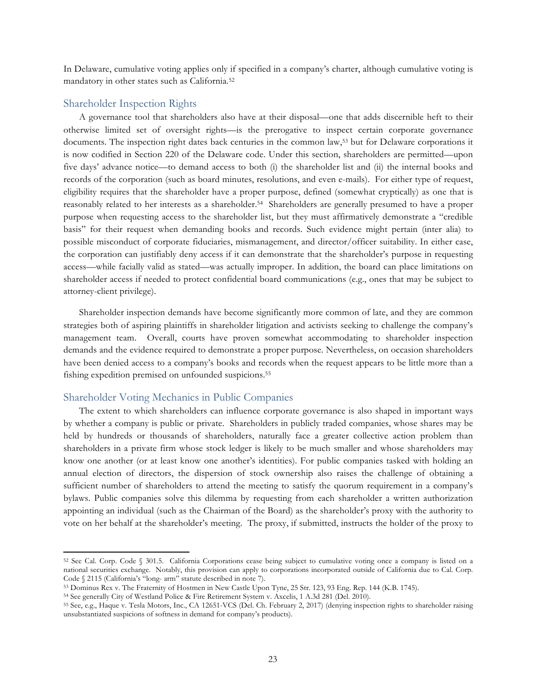In Delaware, cumulative voting applies only if specified in a company's charter, although cumulative voting is mandatory in other states such as California.52

#### Shareholder Inspection Rights

A governance tool that shareholders also have at their disposal—one that adds discernible heft to their otherwise limited set of oversight rights—is the prerogative to inspect certain corporate governance documents. The inspection right dates back centuries in the common law,53 but for Delaware corporations it is now codified in Section 220 of the Delaware code. Under this section, shareholders are permitted—upon five days' advance notice—to demand access to both (i) the shareholder list and (ii) the internal books and records of the corporation (such as board minutes, resolutions, and even e-mails). For either type of request, eligibility requires that the shareholder have a proper purpose, defined (somewhat cryptically) as one that is reasonably related to her interests as a shareholder.54 Shareholders are generally presumed to have a proper purpose when requesting access to the shareholder list, but they must affirmatively demonstrate a "credible basis" for their request when demanding books and records. Such evidence might pertain (inter alia) to possible misconduct of corporate fiduciaries, mismanagement, and director/officer suitability. In either case, the corporation can justifiably deny access if it can demonstrate that the shareholder's purpose in requesting access—while facially valid as stated—was actually improper. In addition, the board can place limitations on shareholder access if needed to protect confidential board communications (e.g., ones that may be subject to attorney-client privilege).

Shareholder inspection demands have become significantly more common of late, and they are common strategies both of aspiring plaintiffs in shareholder litigation and activists seeking to challenge the company's management team. Overall, courts have proven somewhat accommodating to shareholder inspection demands and the evidence required to demonstrate a proper purpose. Nevertheless, on occasion shareholders have been denied access to a company's books and records when the request appears to be little more than a fishing expedition premised on unfounded suspicions.55

#### Shareholder Voting Mechanics in Public Companies

 

The extent to which shareholders can influence corporate governance is also shaped in important ways by whether a company is public or private. Shareholders in publicly traded companies, whose shares may be held by hundreds or thousands of shareholders, naturally face a greater collective action problem than shareholders in a private firm whose stock ledger is likely to be much smaller and whose shareholders may know one another (or at least know one another's identities). For public companies tasked with holding an annual election of directors, the dispersion of stock ownership also raises the challenge of obtaining a sufficient number of shareholders to attend the meeting to satisfy the quorum requirement in a company's bylaws. Public companies solve this dilemma by requesting from each shareholder a written authorization appointing an individual (such as the Chairman of the Board) as the shareholder's proxy with the authority to vote on her behalf at the shareholder's meeting. The proxy, if submitted, instructs the holder of the proxy to

<sup>52</sup> See Cal. Corp. Code § 301.5. California Corporations cease being subject to cumulative voting once a company is listed on a national securities exchange. Notably, this provision can apply to corporations incorporated outside of California due to Cal. Corp. Code § 2115 (California's "long- arm" statute described in note 7).

<sup>53</sup> Dominus Rex v. The Fraternity of Hostmen in New Castle Upon Tyne, 25 Str. 123, 93 Eng. Rep. 144 (K.B. 1745).

<sup>54</sup> See generally City of Westland Police & Fire Retirement System v. Axcelis, 1 A.3d 281 (Del. 2010).

<sup>55</sup> See, e.g., Haque v. Tesla Motors, Inc., CA 12651-VCS (Del. Ch. February 2, 2017) (denying inspection rights to shareholder raising unsubstantiated suspicions of softness in demand for company's products).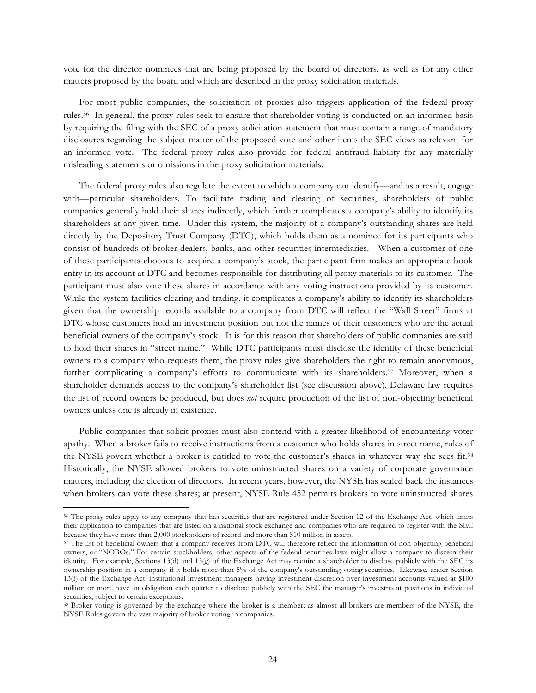vote for the director nominees that are being proposed by the board of directors, as well as for any other matters proposed by the board and which are described in the proxy solicitation materials.

For most public companies, the solicitation of proxies also triggers application of the federal proxy rules.56 In general, the proxy rules seek to ensure that shareholder voting is conducted on an informed basis by requiring the filing with the SEC of a proxy solicitation statement that must contain a range of mandatory disclosures regarding the subject matter of the proposed vote and other items the SEC views as relevant for an informed vote. The federal proxy rules also provide for federal antifraud liability for any materially misleading statements or omissions in the proxy solicitation materials.

The federal proxy rules also regulate the extent to which a company can identify—and as a result, engage with—particular shareholders. To facilitate trading and clearing of securities, shareholders of public companies generally hold their shares indirectly, which further complicates a company's ability to identify its shareholders at any given time. Under this system, the majority of a company's outstanding shares are held directly by the Depository Trust Company (DTC), which holds them as a nominee for its participants who consist of hundreds of broker-dealers, banks, and other securities intermediaries. When a customer of one of these participants chooses to acquire a company's stock, the participant firm makes an appropriate book entry in its account at DTC and becomes responsible for distributing all proxy materials to its customer. The participant must also vote these shares in accordance with any voting instructions provided by its customer. While the system facilities clearing and trading, it complicates a company's ability to identify its shareholders given that the ownership records available to a company from DTC will reflect the "Wall Street" firms at DTC whose customers hold an investment position but not the names of their customers who are the actual beneficial owners of the company's stock. It is for this reason that shareholders of public companies are said to hold their shares in "street name." While DTC participants must disclose the identity of these beneficial owners to a company who requests them, the proxy rules give shareholders the right to remain anonymous, further complicating a company's efforts to communicate with its shareholders.57 Moreover, when a shareholder demands access to the company's shareholder list (see discussion above), Delaware law requires the list of record owners be produced, but does *not* require production of the list of non-objecting beneficial owners unless one is already in existence.

Public companies that solicit proxies must also contend with a greater likelihood of encountering voter apathy. When a broker fails to receive instructions from a customer who holds shares in street name, rules of the NYSE govern whether a broker is entitled to vote the customer's shares in whatever way she sees fit.58 Historically, the NYSE allowed brokers to vote uninstructed shares on a variety of corporate governance matters, including the election of directors. In recent years, however, the NYSE has scaled back the instances when brokers can vote these shares; at present, NYSE Rule 452 permits brokers to vote uninstructed shares

<sup>56</sup> The proxy rules apply to any company that has securities that are registered under Section 12 of the Exchange Act, which limits their application to companies that are listed on a national stock exchange and companies who are required to register with the SEC because they have more than 2,000 stockholders of record and more than \$10 million in assets.

<sup>57</sup> The list of beneficial owners that a company receives from DTC will therefore reflect the information of non-objecting beneficial owners, or "NOBOs." For certain stockholders, other aspects of the federal securities laws might allow a company to discern their identity. For example, Sections 13(d) and 13(g) of the Exchange Act may require a shareholder to disclose publicly with the SEC its ownership position in a company if it holds more than 5% of the company's outstanding voting securities. Likewise, under Section 13(f) of the Exchange Act, institutional investment managers having investment discretion over investment accounts valued at \$100 million or more have an obligation each quarter to disclose publicly with the SEC the manager's investment positions in individual securities, subject to certain exceptions.

<sup>58</sup> Broker voting is governed by the exchange where the broker is a member; as almost all brokers are members of the NYSE, the NYSE Rules govern the vast majority of broker voting in companies.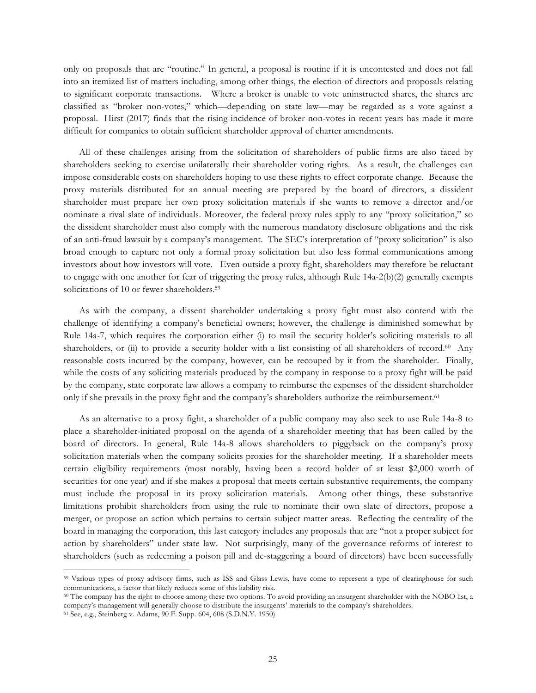only on proposals that are "routine." In general, a proposal is routine if it is uncontested and does not fall into an itemized list of matters including, among other things, the election of directors and proposals relating to significant corporate transactions. Where a broker is unable to vote uninstructed shares, the shares are classified as "broker non-votes," which—depending on state law—may be regarded as a vote against a proposal. Hirst (2017) finds that the rising incidence of broker non-votes in recent years has made it more difficult for companies to obtain sufficient shareholder approval of charter amendments.

All of these challenges arising from the solicitation of shareholders of public firms are also faced by shareholders seeking to exercise unilaterally their shareholder voting rights. As a result, the challenges can impose considerable costs on shareholders hoping to use these rights to effect corporate change. Because the proxy materials distributed for an annual meeting are prepared by the board of directors, a dissident shareholder must prepare her own proxy solicitation materials if she wants to remove a director and/or nominate a rival slate of individuals. Moreover, the federal proxy rules apply to any "proxy solicitation," so the dissident shareholder must also comply with the numerous mandatory disclosure obligations and the risk of an anti-fraud lawsuit by a company's management. The SEC's interpretation of "proxy solicitation" is also broad enough to capture not only a formal proxy solicitation but also less formal communications among investors about how investors will vote. Even outside a proxy fight, shareholders may therefore be reluctant to engage with one another for fear of triggering the proxy rules, although Rule 14a-2(b)(2) generally exempts solicitations of 10 or fewer shareholders.<sup>59</sup>

As with the company, a dissent shareholder undertaking a proxy fight must also contend with the challenge of identifying a company's beneficial owners; however, the challenge is diminished somewhat by Rule 14a-7, which requires the corporation either (i) to mail the security holder's soliciting materials to all shareholders, or (ii) to provide a security holder with a list consisting of all shareholders of record.<sup>60</sup> Any reasonable costs incurred by the company, however, can be recouped by it from the shareholder. Finally, while the costs of any soliciting materials produced by the company in response to a proxy fight will be paid by the company, state corporate law allows a company to reimburse the expenses of the dissident shareholder only if she prevails in the proxy fight and the company's shareholders authorize the reimbursement.61

As an alternative to a proxy fight, a shareholder of a public company may also seek to use Rule 14a-8 to place a shareholder-initiated proposal on the agenda of a shareholder meeting that has been called by the board of directors. In general, Rule 14a-8 allows shareholders to piggyback on the company's proxy solicitation materials when the company solicits proxies for the shareholder meeting. If a shareholder meets certain eligibility requirements (most notably, having been a record holder of at least \$2,000 worth of securities for one year) and if she makes a proposal that meets certain substantive requirements, the company must include the proposal in its proxy solicitation materials. Among other things, these substantive limitations prohibit shareholders from using the rule to nominate their own slate of directors, propose a merger, or propose an action which pertains to certain subject matter areas. Reflecting the centrality of the board in managing the corporation, this last category includes any proposals that are "not a proper subject for action by shareholders" under state law. Not surprisingly, many of the governance reforms of interest to shareholders (such as redeeming a poison pill and de-staggering a board of directors) have been successfully

<sup>59</sup> Various types of proxy advisory firms, such as ISS and Glass Lewis, have come to represent a type of clearinghouse for such communications, a factor that likely reduces some of this liability risk.

<sup>60</sup> The company has the right to choose among these two options. To avoid providing an insurgent shareholder with the NOBO list, a company's management will generally choose to distribute the insurgents' materials to the company's shareholders.

<sup>61</sup> See, e.g., Steinberg v. Adams, 90 F. Supp. 604, 608 (S.D.N.Y. 1950)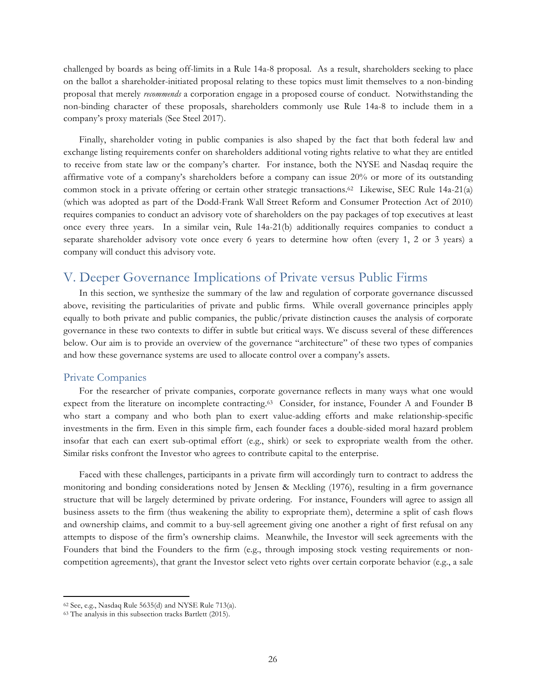challenged by boards as being off-limits in a Rule 14a-8 proposal. As a result, shareholders seeking to place on the ballot a shareholder-initiated proposal relating to these topics must limit themselves to a non-binding proposal that merely *recommends* a corporation engage in a proposed course of conduct. Notwithstanding the non-binding character of these proposals, shareholders commonly use Rule 14a-8 to include them in a company's proxy materials (See Steel 2017).

Finally, shareholder voting in public companies is also shaped by the fact that both federal law and exchange listing requirements confer on shareholders additional voting rights relative to what they are entitled to receive from state law or the company's charter. For instance, both the NYSE and Nasdaq require the affirmative vote of a company's shareholders before a company can issue 20% or more of its outstanding common stock in a private offering or certain other strategic transactions.<sup>62</sup> Likewise, SEC Rule 14a-21(a) (which was adopted as part of the Dodd-Frank Wall Street Reform and Consumer Protection Act of 2010) requires companies to conduct an advisory vote of shareholders on the pay packages of top executives at least once every three years. In a similar vein, Rule 14a-21(b) additionally requires companies to conduct a separate shareholder advisory vote once every 6 years to determine how often (every 1, 2 or 3 years) a company will conduct this advisory vote.

## V. Deeper Governance Implications of Private versus Public Firms

In this section, we synthesize the summary of the law and regulation of corporate governance discussed above, revisiting the particularities of private and public firms. While overall governance principles apply equally to both private and public companies, the public/private distinction causes the analysis of corporate governance in these two contexts to differ in subtle but critical ways. We discuss several of these differences below. Our aim is to provide an overview of the governance "architecture" of these two types of companies and how these governance systems are used to allocate control over a company's assets.

#### Private Companies

For the researcher of private companies, corporate governance reflects in many ways what one would expect from the literature on incomplete contracting.63 Consider, for instance, Founder A and Founder B who start a company and who both plan to exert value-adding efforts and make relationship-specific investments in the firm. Even in this simple firm, each founder faces a double-sided moral hazard problem insofar that each can exert sub-optimal effort (e.g., shirk) or seek to expropriate wealth from the other. Similar risks confront the Investor who agrees to contribute capital to the enterprise.

Faced with these challenges, participants in a private firm will accordingly turn to contract to address the monitoring and bonding considerations noted by Jensen & Meckling (1976), resulting in a firm governance structure that will be largely determined by private ordering. For instance, Founders will agree to assign all business assets to the firm (thus weakening the ability to expropriate them), determine a split of cash flows and ownership claims, and commit to a buy-sell agreement giving one another a right of first refusal on any attempts to dispose of the firm's ownership claims. Meanwhile, the Investor will seek agreements with the Founders that bind the Founders to the firm (e.g., through imposing stock vesting requirements or noncompetition agreements), that grant the Investor select veto rights over certain corporate behavior (e.g., a sale

<sup>62</sup> See, e.g., Nasdaq Rule 5635(d) and NYSE Rule 713(a).

<sup>63</sup> The analysis in this subsection tracks Bartlett (2015).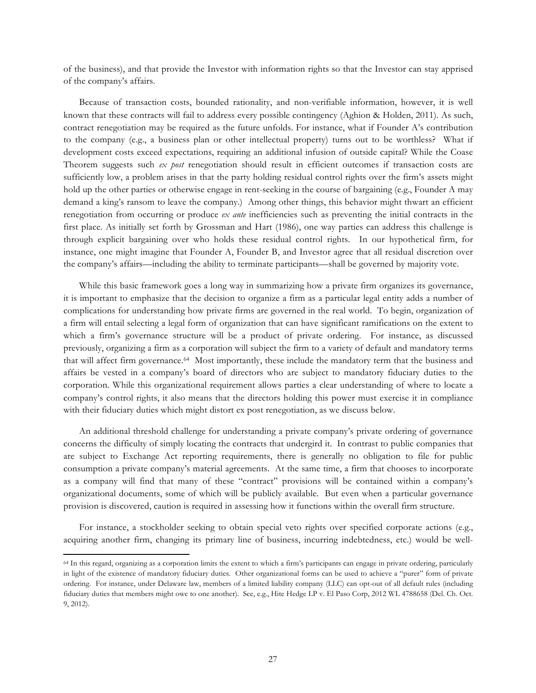of the business), and that provide the Investor with information rights so that the Investor can stay apprised of the company's affairs.

Because of transaction costs, bounded rationality, and non-verifiable information, however, it is well known that these contracts will fail to address every possible contingency (Aghion & Holden, 2011). As such, contract renegotiation may be required as the future unfolds. For instance, what if Founder A's contribution to the company (e.g., a business plan or other intellectual property) turns out to be worthless? What if development costs exceed expectations, requiring an additional infusion of outside capital? While the Coase Theorem suggests such *ex post* renegotiation should result in efficient outcomes if transaction costs are sufficiently low, a problem arises in that the party holding residual control rights over the firm's assets might hold up the other parties or otherwise engage in rent-seeking in the course of bargaining (e.g., Founder A may demand a king's ransom to leave the company.) Among other things, this behavior might thwart an efficient renegotiation from occurring or produce *ex ante* inefficiencies such as preventing the initial contracts in the first place. As initially set forth by Grossman and Hart (1986), one way parties can address this challenge is through explicit bargaining over who holds these residual control rights. In our hypothetical firm, for instance, one might imagine that Founder A, Founder B, and Investor agree that all residual discretion over the company's affairs—including the ability to terminate participants—shall be governed by majority vote.

While this basic framework goes a long way in summarizing how a private firm organizes its governance, it is important to emphasize that the decision to organize a firm as a particular legal entity adds a number of complications for understanding how private firms are governed in the real world. To begin, organization of a firm will entail selecting a legal form of organization that can have significant ramifications on the extent to which a firm's governance structure will be a product of private ordering. For instance, as discussed previously, organizing a firm as a corporation will subject the firm to a variety of default and mandatory terms that will affect firm governance.64 Most importantly, these include the mandatory term that the business and affairs be vested in a company's board of directors who are subject to mandatory fiduciary duties to the corporation. While this organizational requirement allows parties a clear understanding of where to locate a company's control rights, it also means that the directors holding this power must exercise it in compliance with their fiduciary duties which might distort ex post renegotiation, as we discuss below.

An additional threshold challenge for understanding a private company's private ordering of governance concerns the difficulty of simply locating the contracts that undergird it. In contrast to public companies that are subject to Exchange Act reporting requirements, there is generally no obligation to file for public consumption a private company's material agreements. At the same time, a firm that chooses to incorporate as a company will find that many of these "contract" provisions will be contained within a company's organizational documents, some of which will be publicly available. But even when a particular governance provision is discovered, caution is required in assessing how it functions within the overall firm structure.

For instance, a stockholder seeking to obtain special veto rights over specified corporate actions (e.g., acquiring another firm, changing its primary line of business, incurring indebtedness, etc.) would be well-

<sup>64</sup> In this regard, organizing as a corporation limits the extent to which a firm's participants can engage in private ordering, particularly in light of the existence of mandatory fiduciary duties. Other organizational forms can be used to achieve a "purer" form of private ordering. For instance, under Delaware law, members of a limited liability company (LLC) can opt-out of all default rules (including fiduciary duties that members might owe to one another). See, e.g., Hite Hedge LP v. El Paso Corp, 2012 WL 4788658 (Del. Ch. Oct. 9, 2012).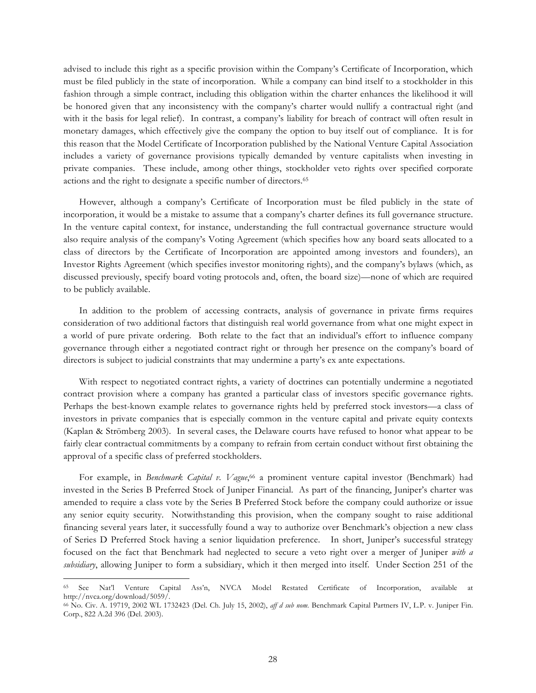advised to include this right as a specific provision within the Company's Certificate of Incorporation, which must be filed publicly in the state of incorporation. While a company can bind itself to a stockholder in this fashion through a simple contract, including this obligation within the charter enhances the likelihood it will be honored given that any inconsistency with the company's charter would nullify a contractual right (and with it the basis for legal relief). In contrast, a company's liability for breach of contract will often result in monetary damages, which effectively give the company the option to buy itself out of compliance. It is for this reason that the Model Certificate of Incorporation published by the National Venture Capital Association includes a variety of governance provisions typically demanded by venture capitalists when investing in private companies. These include, among other things, stockholder veto rights over specified corporate actions and the right to designate a specific number of directors.65

However, although a company's Certificate of Incorporation must be filed publicly in the state of incorporation, it would be a mistake to assume that a company's charter defines its full governance structure. In the venture capital context, for instance, understanding the full contractual governance structure would also require analysis of the company's Voting Agreement (which specifies how any board seats allocated to a class of directors by the Certificate of Incorporation are appointed among investors and founders), an Investor Rights Agreement (which specifies investor monitoring rights), and the company's bylaws (which, as discussed previously, specify board voting protocols and, often, the board size)—none of which are required to be publicly available.

In addition to the problem of accessing contracts, analysis of governance in private firms requires consideration of two additional factors that distinguish real world governance from what one might expect in a world of pure private ordering. Both relate to the fact that an individual's effort to influence company governance through either a negotiated contract right or through her presence on the company's board of directors is subject to judicial constraints that may undermine a party's ex ante expectations.

With respect to negotiated contract rights, a variety of doctrines can potentially undermine a negotiated contract provision where a company has granted a particular class of investors specific governance rights. Perhaps the best-known example relates to governance rights held by preferred stock investors—a class of investors in private companies that is especially common in the venture capital and private equity contexts (Kaplan & Strömberg 2003). In several cases, the Delaware courts have refused to honor what appear to be fairly clear contractual commitments by a company to refrain from certain conduct without first obtaining the approval of a specific class of preferred stockholders.

For example, in *Benchmark Capital v. Vague*, <sup>66</sup> a prominent venture capital investor (Benchmark) had invested in the Series B Preferred Stock of Juniper Financial. As part of the financing, Juniper's charter was amended to require a class vote by the Series B Preferred Stock before the company could authorize or issue any senior equity security. Notwithstanding this provision, when the company sought to raise additional financing several years later, it successfully found a way to authorize over Benchmark's objection a new class of Series D Preferred Stock having a senior liquidation preference. In short, Juniper's successful strategy focused on the fact that Benchmark had neglected to secure a veto right over a merger of Juniper *with a subsidiary*, allowing Juniper to form a subsidiary, which it then merged into itself. Under Section 251 of the

<sup>65</sup> See Nat'l Venture Capital Ass'n, NVCA Model Restated Certificate of Incorporation, available at http://nvca.org/download/5059/.

<sup>66</sup> No. Civ. A. 19719, 2002 WL 1732423 (Del. Ch. July 15, 2002), *aff d sub nom.* Benchmark Capital Partners IV, L.P. v. Juniper Fin. Corp., 822 A.2d 396 (Del. 2003).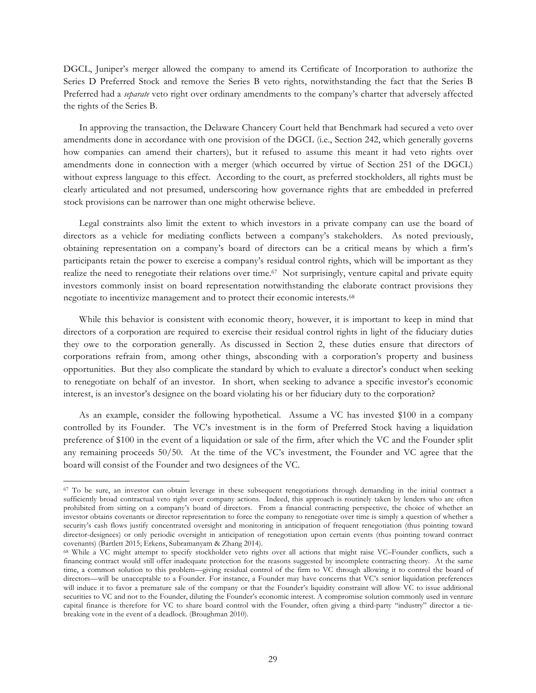DGCL, Juniper's merger allowed the company to amend its Certificate of Incorporation to authorize the Series D Preferred Stock and remove the Series B veto rights, notwithstanding the fact that the Series B Preferred had a *separate* veto right over ordinary amendments to the company's charter that adversely affected the rights of the Series B.

In approving the transaction, the Delaware Chancery Court held that Benchmark had secured a veto over amendments done in accordance with one provision of the DGCL (i.e., Section 242, which generally governs how companies can amend their charters), but it refused to assume this meant it had veto rights over amendments done in connection with a merger (which occurred by virtue of Section 251 of the DGCL) without express language to this effect. According to the court, as preferred stockholders, all rights must be clearly articulated and not presumed, underscoring how governance rights that are embedded in preferred stock provisions can be narrower than one might otherwise believe.

Legal constraints also limit the extent to which investors in a private company can use the board of directors as a vehicle for mediating conflicts between a company's stakeholders. As noted previously, obtaining representation on a company's board of directors can be a critical means by which a firm's participants retain the power to exercise a company's residual control rights, which will be important as they realize the need to renegotiate their relations over time.67 Not surprisingly, venture capital and private equity investors commonly insist on board representation notwithstanding the elaborate contract provisions they negotiate to incentivize management and to protect their economic interests.68

While this behavior is consistent with economic theory, however, it is important to keep in mind that directors of a corporation are required to exercise their residual control rights in light of the fiduciary duties they owe to the corporation generally. As discussed in Section 2, these duties ensure that directors of corporations refrain from, among other things, absconding with a corporation's property and business opportunities. But they also complicate the standard by which to evaluate a director's conduct when seeking to renegotiate on behalf of an investor. In short, when seeking to advance a specific investor's economic interest, is an investor's designee on the board violating his or her fiduciary duty to the corporation?

As an example, consider the following hypothetical. Assume a VC has invested \$100 in a company controlled by its Founder. The VC's investment is in the form of Preferred Stock having a liquidation preference of \$100 in the event of a liquidation or sale of the firm, after which the VC and the Founder split any remaining proceeds 50/50. At the time of the VC's investment, the Founder and VC agree that the board will consist of the Founder and two designees of the VC.

<sup>67</sup> To be sure, an investor can obtain leverage in these subsequent renegotiations through demanding in the initial contract a sufficiently broad contractual veto right over company actions. Indeed, this approach is routinely taken by lenders who are often prohibited from sitting on a company's board of directors. From a financial contracting perspective, the choice of whether an investor obtains covenants or director representation to force the company to renegotiate over time is simply a question of whether a security's cash flows justify concentrated oversight and monitoring in anticipation of frequent renegotiation (thus pointing toward director-designees) or only periodic oversight in anticipation of renegotiation upon certain events (thus pointing toward contract covenants) (Bartlett 2015; Erkens, Subramanyam & Zhang 2014).

<sup>68</sup> While a VC might attempt to specify stockholder veto rights over all actions that might raise VC–Founder conflicts, such a financing contract would still offer inadequate protection for the reasons suggested by incomplete contracting theory. At the same time, a common solution to this problem—giving residual control of the firm to VC through allowing it to control the board of directors—will be unacceptable to a Founder. For instance, a Founder may have concerns that VC's senior liquidation preferences will induce it to favor a premature sale of the company or that the Founder's liquidity constraint will allow VC to issue additional securities to VC and not to the Founder, diluting the Founder's economic interest. A compromise solution commonly used in venture capital finance is therefore for VC to share board control with the Founder, often giving a third-party "industry" director a tiebreaking vote in the event of a deadlock. (Broughman 2010).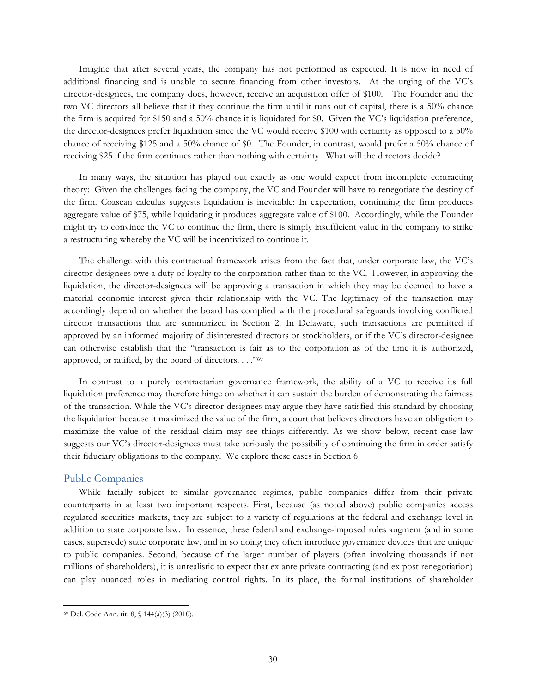Imagine that after several years, the company has not performed as expected. It is now in need of additional financing and is unable to secure financing from other investors. At the urging of the VC's director-designees, the company does, however, receive an acquisition offer of \$100. The Founder and the two VC directors all believe that if they continue the firm until it runs out of capital, there is a 50% chance the firm is acquired for \$150 and a 50% chance it is liquidated for \$0. Given the VC's liquidation preference, the director-designees prefer liquidation since the VC would receive \$100 with certainty as opposed to a 50% chance of receiving \$125 and a 50% chance of \$0. The Founder, in contrast, would prefer a 50% chance of receiving \$25 if the firm continues rather than nothing with certainty. What will the directors decide?

In many ways, the situation has played out exactly as one would expect from incomplete contracting theory: Given the challenges facing the company, the VC and Founder will have to renegotiate the destiny of the firm. Coasean calculus suggests liquidation is inevitable: In expectation, continuing the firm produces aggregate value of \$75, while liquidating it produces aggregate value of \$100. Accordingly, while the Founder might try to convince the VC to continue the firm, there is simply insufficient value in the company to strike a restructuring whereby the VC will be incentivized to continue it.

The challenge with this contractual framework arises from the fact that, under corporate law, the VC's director-designees owe a duty of loyalty to the corporation rather than to the VC. However, in approving the liquidation, the director-designees will be approving a transaction in which they may be deemed to have a material economic interest given their relationship with the VC. The legitimacy of the transaction may accordingly depend on whether the board has complied with the procedural safeguards involving conflicted director transactions that are summarized in Section 2. In Delaware, such transactions are permitted if approved by an informed majority of disinterested directors or stockholders, or if the VC's director-designee can otherwise establish that the "transaction is fair as to the corporation as of the time it is authorized, approved, or ratified, by the board of directors. . . ."69

In contrast to a purely contractarian governance framework, the ability of a VC to receive its full liquidation preference may therefore hinge on whether it can sustain the burden of demonstrating the fairness of the transaction. While the VC's director-designees may argue they have satisfied this standard by choosing the liquidation because it maximized the value of the firm, a court that believes directors have an obligation to maximize the value of the residual claim may see things differently. As we show below, recent case law suggests our VC's director-designees must take seriously the possibility of continuing the firm in order satisfy their fiduciary obligations to the company. We explore these cases in Section 6.

#### Public Companies

While facially subject to similar governance regimes, public companies differ from their private counterparts in at least two important respects. First, because (as noted above) public companies access regulated securities markets, they are subject to a variety of regulations at the federal and exchange level in addition to state corporate law. In essence, these federal and exchange-imposed rules augment (and in some cases, supersede) state corporate law, and in so doing they often introduce governance devices that are unique to public companies. Second, because of the larger number of players (often involving thousands if not millions of shareholders), it is unrealistic to expect that ex ante private contracting (and ex post renegotiation) can play nuanced roles in mediating control rights. In its place, the formal institutions of shareholder

 <sup>69</sup> Del. Code Ann. tit. 8, § 144(a)(3) (2010).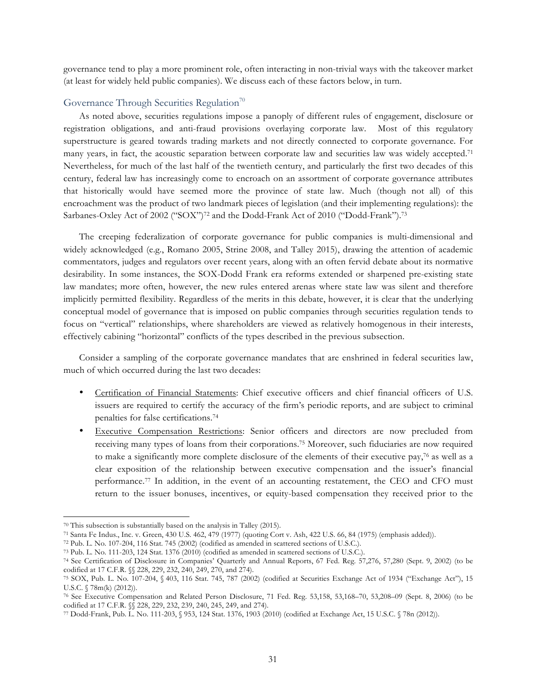governance tend to play a more prominent role, often interacting in non-trivial ways with the takeover market (at least for widely held public companies). We discuss each of these factors below, in turn.

### Governance Through Securities Regulation<sup>70</sup>

As noted above, securities regulations impose a panoply of different rules of engagement, disclosure or registration obligations, and anti-fraud provisions overlaying corporate law. Most of this regulatory superstructure is geared towards trading markets and not directly connected to corporate governance. For many years, in fact, the acoustic separation between corporate law and securities law was widely accepted.71 Nevertheless, for much of the last half of the twentieth century, and particularly the first two decades of this century, federal law has increasingly come to encroach on an assortment of corporate governance attributes that historically would have seemed more the province of state law. Much (though not all) of this encroachment was the product of two landmark pieces of legislation (and their implementing regulations): the Sarbanes-Oxley Act of 2002 ("SOX")72 and the Dodd-Frank Act of 2010 ("Dodd-Frank").73

The creeping federalization of corporate governance for public companies is multi-dimensional and widely acknowledged (e.g., Romano 2005, Strine 2008, and Talley 2015), drawing the attention of academic commentators, judges and regulators over recent years, along with an often fervid debate about its normative desirability. In some instances, the SOX-Dodd Frank era reforms extended or sharpened pre-existing state law mandates; more often, however, the new rules entered arenas where state law was silent and therefore implicitly permitted flexibility. Regardless of the merits in this debate, however, it is clear that the underlying conceptual model of governance that is imposed on public companies through securities regulation tends to focus on "vertical" relationships, where shareholders are viewed as relatively homogenous in their interests, effectively cabining "horizontal" conflicts of the types described in the previous subsection.

Consider a sampling of the corporate governance mandates that are enshrined in federal securities law, much of which occurred during the last two decades:

- Certification of Financial Statements: Chief executive officers and chief financial officers of U.S. issuers are required to certify the accuracy of the firm's periodic reports, and are subject to criminal penalties for false certifications.74
- Executive Compensation Restrictions: Senior officers and directors are now precluded from receiving many types of loans from their corporations.75 Moreover, such fiduciaries are now required to make a significantly more complete disclosure of the elements of their executive pay,76 as well as a clear exposition of the relationship between executive compensation and the issuer's financial performance.77 In addition, in the event of an accounting restatement, the CEO and CFO must return to the issuer bonuses, incentives, or equity-based compensation they received prior to the

<sup>70</sup> This subsection is substantially based on the analysis in Talley (2015).

<sup>71</sup> Santa Fe Indus., Inc. v. Green, 430 U.S. 462, 479 (1977) (quoting Cort v. Ash, 422 U.S. 66, 84 (1975) (emphasis added)).

<sup>72</sup> Pub. L. No. 107-204, 116 Stat. 745 (2002) (codified as amended in scattered sections of U.S.C.).

<sup>73</sup> Pub. L. No. 111-203, 124 Stat. 1376 (2010) (codified as amended in scattered sections of U.S.C.).

<sup>74</sup> See Certification of Disclosure in Companies' Quarterly and Annual Reports, 67 Fed. Reg. 57,276, 57,280 (Sept. 9, 2002) (to be codified at 17 C.F.R. §§ 228, 229, 232, 240, 249, 270, and 274).

<sup>75</sup> SOX, Pub. L. No. 107-204, § 403, 116 Stat. 745, 787 (2002) (codified at Securities Exchange Act of 1934 ("Exchange Act"), 15 U.S.C. § 78m(k) (2012)).

<sup>76</sup> See Executive Compensation and Related Person Disclosure, 71 Fed. Reg. 53,158, 53,168–70, 53,208–09 (Sept. 8, 2006) (to be codified at 17 C.F.R. §§ 228, 229, 232, 239, 240, 245, 249, and 274).

<sup>77</sup> Dodd-Frank, Pub. L. No. 111-203, § 953, 124 Stat. 1376, 1903 (2010) (codified at Exchange Act, 15 U.S.C. § 78n (2012)).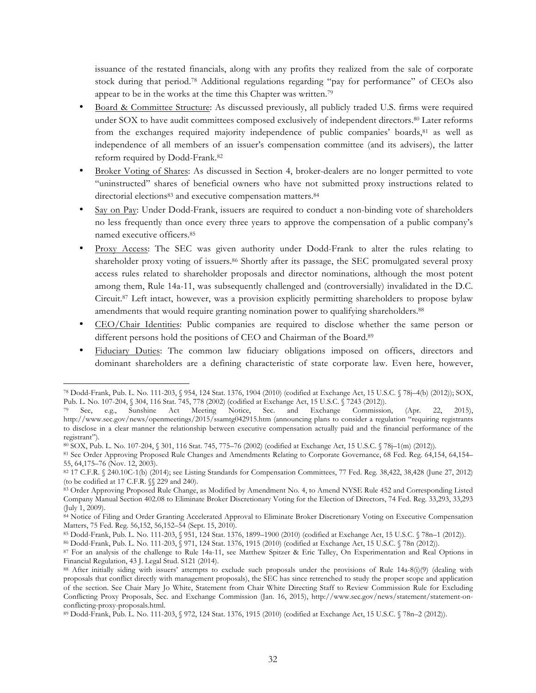issuance of the restated financials, along with any profits they realized from the sale of corporate stock during that period.78 Additional regulations regarding "pay for performance" of CEOs also appear to be in the works at the time this Chapter was written.79

- Board & Committee Structure: As discussed previously, all publicly traded U.S. firms were required under SOX to have audit committees composed exclusively of independent directors.80 Later reforms from the exchanges required majority independence of public companies' boards,<sup>81</sup> as well as independence of all members of an issuer's compensation committee (and its advisers), the latter reform required by Dodd-Frank.82
- Broker Voting of Shares: As discussed in Section 4, broker-dealers are no longer permitted to vote "uninstructed" shares of beneficial owners who have not submitted proxy instructions related to directorial elections<sup>83</sup> and executive compensation matters.<sup>84</sup>
- Say on Pay: Under Dodd-Frank, issuers are required to conduct a non-binding vote of shareholders no less frequently than once every three years to approve the compensation of a public company's named executive officers.85
- Proxy Access: The SEC was given authority under Dodd-Frank to alter the rules relating to shareholder proxy voting of issuers.<sup>86</sup> Shortly after its passage, the SEC promulgated several proxy access rules related to shareholder proposals and director nominations, although the most potent among them, Rule 14a-11, was subsequently challenged and (controversially) invalidated in the D.C. Circuit.87 Left intact, however, was a provision explicitly permitting shareholders to propose bylaw amendments that would require granting nomination power to qualifying shareholders.<sup>88</sup>
- CEO/Chair Identities: Public companies are required to disclose whether the same person or different persons hold the positions of CEO and Chairman of the Board.89
- Fiduciary Duties: The common law fiduciary obligations imposed on officers, directors and dominant shareholders are a defining characteristic of state corporate law. Even here, however,

<u> 1989 - Jan Samuel Barbara, margaret e</u>

<sup>78</sup> Dodd-Frank, Pub. L. No. 111-203, § 954, 124 Stat. 1376, 1904 (2010) (codified at Exchange Act, 15 U.S.C. § 78j–4(b) (2012)); SOX, Pub. L. No. 107-204, § 304, 116 Stat. 745, 778 (2002) (codified at Exchange Act, 15 U.S.C. § 7243 (2012)).

<sup>79</sup> See, e.g., Sunshine Act Meeting Notice, Sec. and Exchange Commission, (Apr. 22, 2015), http://www.sec.gov/news/openmeetings/2015/ssamtg042915.htm (announcing plans to consider a regulation "requiring registrants to disclose in a clear manner the relationship between executive compensation actually paid and the financial performance of the registrant").

<sup>80</sup> SOX, Pub. L. No. 107-204, § 301, 116 Stat. 745, 775–76 (2002) (codified at Exchange Act, 15 U.S.C. § 78j–1(m) (2012)).

<sup>81</sup> See Order Approving Proposed Rule Changes and Amendments Relating to Corporate Governance, 68 Fed. Reg. 64,154, 64,154– 55, 64,175–76 (Nov. 12, 2003).

<sup>82</sup> 17 C.F.R. § 240.10C-1(b) (2014); see Listing Standards for Compensation Committees, 77 Fed. Reg. 38,422, 38,428 (June 27, 2012) (to be codified at 17 C.F.R. §§ 229 and 240).

<sup>83</sup> Order Approving Proposed Rule Change, as Modified by Amendment No. 4, to Amend NYSE Rule 452 and Corresponding Listed Company Manual Section 402.08 to Eliminate Broker Discretionary Voting for the Election of Directors, 74 Fed. Reg. 33,293, 33,293 (July 1, 2009).

<sup>84</sup> Notice of Filing and Order Granting Accelerated Approval to Eliminate Broker Discretionary Voting on Executive Compensation Matters, 75 Fed. Reg. 56,152, 56,152–54 (Sept. 15, 2010).

<sup>85</sup> Dodd-Frank, Pub. L. No. 111-203, § 951, 124 Stat. 1376, 1899–1900 (2010) (codified at Exchange Act, 15 U.S.C. § 78n–1 (2012)).

<sup>86</sup> Dodd-Frank, Pub. L. No. 111-203, § 971, 124 Stat. 1376, 1915 (2010) (codified at Exchange Act, 15 U.S.C. § 78n (2012)).

<sup>87</sup> For an analysis of the challenge to Rule 14a-11, see Matthew Spitzer & Eric Talley, On Experimentation and Real Options in Financial Regulation, 43 J. Legal Stud. S121 (2014).

<sup>88</sup> After initially siding with issuers' attempts to exclude such proposals under the provisions of Rule 14a-8(i)(9) (dealing with proposals that conflict directly with management proposals), the SEC has since retrenched to study the proper scope and application of the section. See Chair Mary Jo White, Statement from Chair White Directing Staff to Review Commission Rule for Excluding Conflicting Proxy Proposals, Sec. and Exchange Commission (Jan. 16, 2015), http://www.sec.gov/news/statement/statement-onconflicting-proxy-proposals.html.

<sup>89</sup> Dodd-Frank, Pub. L. No. 111-203, § 972, 124 Stat. 1376, 1915 (2010) (codified at Exchange Act, 15 U.S.C. § 78n–2 (2012)).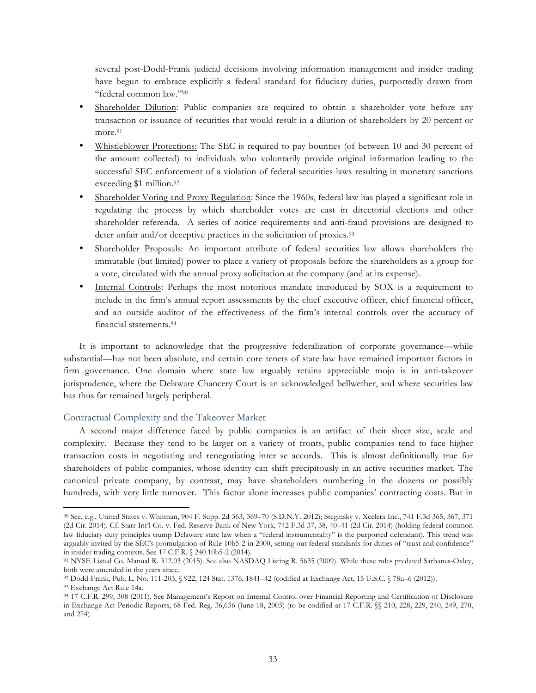several post-Dodd-Frank judicial decisions involving information management and insider trading have begun to embrace explicitly a federal standard for fiduciary duties, purportedly drawn from "federal common law."90

- Shareholder Dilution: Public companies are required to obtain a shareholder vote before any transaction or issuance of securities that would result in a dilution of shareholders by 20 percent or more.<sup>91</sup>
- Whistleblower Protections: The SEC is required to pay bounties (of between 10 and 30 percent of the amount collected) to individuals who voluntarily provide original information leading to the successful SEC enforcement of a violation of federal securities laws resulting in monetary sanctions exceeding \$1 million.<sup>92</sup>
- Shareholder Voting and Proxy Regulation: Since the 1960s, federal law has played a significant role in regulating the process by which shareholder votes are cast in directorial elections and other shareholder referenda. A series of notice requirements and anti-fraud provisions are designed to deter unfair and/or deceptive practices in the solicitation of proxies.<sup>93</sup>
- Shareholder Proposals: An important attribute of federal securities law allows shareholders the immutable (but limited) power to place a variety of proposals before the shareholders as a group for a vote, circulated with the annual proxy solicitation at the company (and at its expense).
- Internal Controls: Perhaps the most notorious mandate introduced by SOX is a requirement to include in the firm's annual report assessments by the chief executive officer, chief financial officer, and an outside auditor of the effectiveness of the firm's internal controls over the accuracy of financial statements.94

It is important to acknowledge that the progressive federalization of corporate governance—while substantial—has not been absolute, and certain core tenets of state law have remained important factors in firm governance. One domain where state law arguably retains appreciable mojo is in anti-takeover jurisprudence, where the Delaware Chancery Court is an acknowledged bellwether, and where securities law has thus far remained largely peripheral.

### Contractual Complexity and the Takeover Market

A second major difference faced by public companies is an artifact of their sheer size, scale and complexity. Because they tend to be larger on a variety of fronts, public companies tend to face higher transaction costs in negotiating and renegotiating inter se accords. This is almost definitionally true for shareholders of public companies, whose identity can shift precipitously in an active securities market. The canonical private company, by contrast, may have shareholders numbering in the dozens or possibly hundreds, with very little turnover. This factor alone increases public companies' contracting costs. But in

<sup>90</sup> See, e.g., United States v. Whitman, 904 F. Supp. 2d 363, 369–70 (S.D.N.Y. 2012); Steginsky v. Xcelera Inc., 741 F.3d 365, 367, 371 (2d Cir. 2014). Cf. Starr Int'l Co. v. Fed. Reserve Bank of New York, 742 F.3d 37, 38, 40–41 (2d Cir. 2014) (holding federal common law fiduciary duty principles trump Delaware state law when a "federal instrumentality" is the purported defendant). This trend was arguably invited by the SEC's promulgation of Rule 10b5-2 in 2000, setting out federal standards for duties of "trust and confidence" in insider trading contexts. See 17 C.F.R. § 240.10b5-2 (2014).

<sup>91</sup> NYSE Listed Co. Manual R. 312.03 (2015). See also NASDAQ Listing R. 5635 (2009). While these rules predated Sarbanes-Oxley, both were amended in the years since.

<sup>92</sup> Dodd-Frank, Pub. L. No. 111-203, § 922, 124 Stat. 1376, 1841–42 (codified at Exchange Act, 15 U.S.C. § 78u–6 (2012)).

<sup>93</sup> Exchange Act Rule 14a.

<sup>94</sup> 17 C.F.R. 299, 308 (2011). See Management's Report on Internal Control over Financial Reporting and Certification of Disclosure in Exchange Act Periodic Reports, 68 Fed. Reg. 36,636 (June 18, 2003) (to be codified at 17 C.F.R. §§ 210, 228, 229, 240, 249, 270, and 274).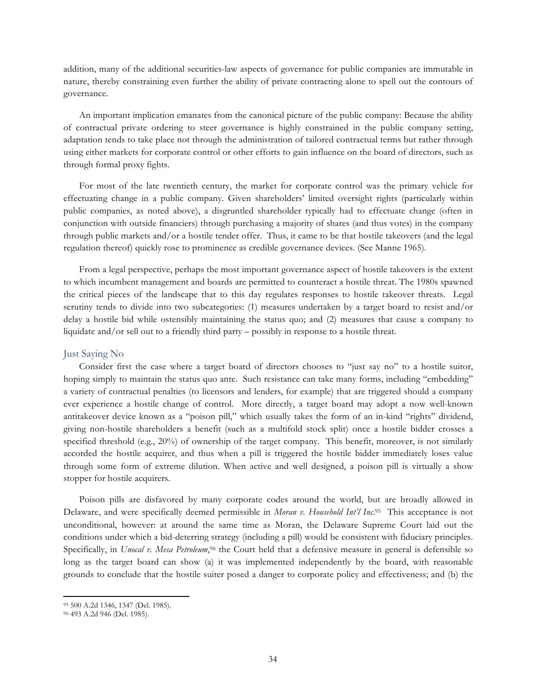addition, many of the additional securities-law aspects of governance for public companies are immutable in nature, thereby constraining even further the ability of private contracting alone to spell out the contours of governance.

An important implication emanates from the canonical picture of the public company: Because the ability of contractual private ordering to steer governance is highly constrained in the public company setting, adaptation tends to take place not through the administration of tailored contractual terms but rather through using either markets for corporate control or other efforts to gain influence on the board of directors, such as through formal proxy fights.

For most of the late twentieth century, the market for corporate control was the primary vehicle for effectuating change in a public company. Given shareholders' limited oversight rights (particularly within public companies, as noted above), a disgruntled shareholder typically had to effectuate change (often in conjunction with outside financiers) through purchasing a majority of shares (and thus votes) in the company through public markets and/or a hostile tender offer. Thus, it came to be that hostile takeovers (and the legal regulation thereof) quickly rose to prominence as credible governance devices. (See Manne 1965).

From a legal perspective, perhaps the most important governance aspect of hostile takeovers is the extent to which incumbent management and boards are permitted to counteract a hostile threat. The 1980s spawned the critical pieces of the landscape that to this day regulates responses to hostile takeover threats. Legal scrutiny tends to divide into two subcategories: (1) measures undertaken by a target board to resist and/or delay a hostile bid while ostensibly maintaining the status quo; and (2) measures that cause a company to liquidate and/or sell out to a friendly third party – possibly in response to a hostile threat.

#### Just Saying No

Consider first the case where a target board of directors chooses to "just say no" to a hostile suitor, hoping simply to maintain the status quo ante. Such resistance can take many forms, including "embedding" a variety of contractual penalties (to licensors and lenders, for example) that are triggered should a company ever experience a hostile change of control. More directly, a target board may adopt a now well-known antitakeover device known as a "poison pill," which usually takes the form of an in-kind "rights" dividend, giving non-hostile shareholders a benefit (such as a multifold stock split) once a hostile bidder crosses a specified threshold (e.g., 20%) of ownership of the target company. This benefit, moreover, is not similarly accorded the hostile acquirer, and thus when a pill is triggered the hostile bidder immediately loses value through some form of extreme dilution. When active and well designed, a poison pill is virtually a show stopper for hostile acquirers.

Poison pills are disfavored by many corporate codes around the world, but are broadly allowed in Delaware, and were specifically deemed permissible in *Moran v. Household Int'l Inc*. <sup>95</sup> This acceptance is not unconditional, however: at around the same time as Moran, the Delaware Supreme Court laid out the conditions under which a bid-deterring strategy (including a pill) would be consistent with fiduciary principles. Specifically, in *Unocal v. Mesa Petroleum*,<sup>96</sup> the Court held that a defensive measure in general is defensible so long as the target board can show (a) it was implemented independently by the board, with reasonable grounds to conclude that the hostile suiter posed a danger to corporate policy and effectiveness; and (b) the

<u> 1989 - Jan Samuel Barbara, margaret e</u>

<sup>95</sup> 500 A.2d 1346, 1347 (Del. 1985).

<sup>96</sup> 493 A.2d 946 (Del. 1985).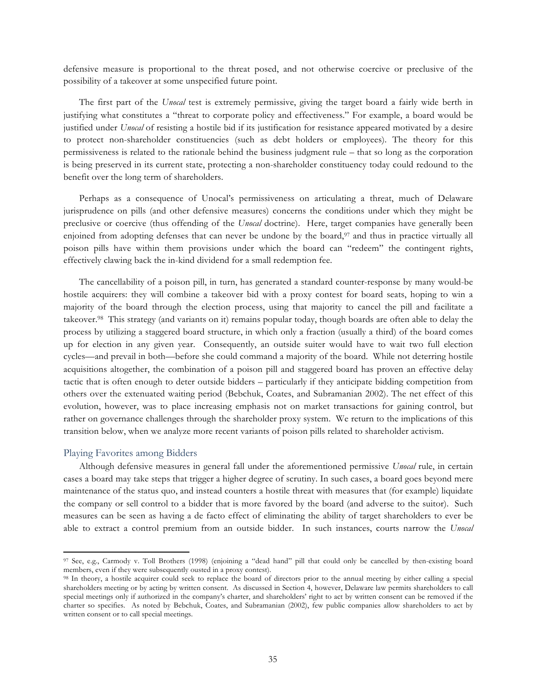defensive measure is proportional to the threat posed, and not otherwise coercive or preclusive of the possibility of a takeover at some unspecified future point.

The first part of the *Unocal* test is extremely permissive, giving the target board a fairly wide berth in justifying what constitutes a "threat to corporate policy and effectiveness." For example, a board would be justified under *Unocal* of resisting a hostile bid if its justification for resistance appeared motivated by a desire to protect non-shareholder constituencies (such as debt holders or employees). The theory for this permissiveness is related to the rationale behind the business judgment rule – that so long as the corporation is being preserved in its current state, protecting a non-shareholder constituency today could redound to the benefit over the long term of shareholders.

Perhaps as a consequence of Unocal's permissiveness on articulating a threat, much of Delaware jurisprudence on pills (and other defensive measures) concerns the conditions under which they might be preclusive or coercive (thus offending of the *Unocal* doctrine). Here, target companies have generally been enjoined from adopting defenses that can never be undone by the board,<sup>97</sup> and thus in practice virtually all poison pills have within them provisions under which the board can "redeem" the contingent rights, effectively clawing back the in-kind dividend for a small redemption fee.

The cancellability of a poison pill, in turn, has generated a standard counter-response by many would-be hostile acquirers: they will combine a takeover bid with a proxy contest for board seats, hoping to win a majority of the board through the election process, using that majority to cancel the pill and facilitate a takeover.98 This strategy (and variants on it) remains popular today, though boards are often able to delay the process by utilizing a staggered board structure, in which only a fraction (usually a third) of the board comes up for election in any given year. Consequently, an outside suiter would have to wait two full election cycles—and prevail in both—before she could command a majority of the board. While not deterring hostile acquisitions altogether, the combination of a poison pill and staggered board has proven an effective delay tactic that is often enough to deter outside bidders – particularly if they anticipate bidding competition from others over the extenuated waiting period (Bebchuk, Coates, and Subramanian 2002). The net effect of this evolution, however, was to place increasing emphasis not on market transactions for gaining control, but rather on governance challenges through the shareholder proxy system. We return to the implications of this transition below, when we analyze more recent variants of poison pills related to shareholder activism.

#### Playing Favorites among Bidders

 

Although defensive measures in general fall under the aforementioned permissive *Unocal* rule, in certain cases a board may take steps that trigger a higher degree of scrutiny. In such cases, a board goes beyond mere maintenance of the status quo, and instead counters a hostile threat with measures that (for example) liquidate the company or sell control to a bidder that is more favored by the board (and adverse to the suitor). Such measures can be seen as having a de facto effect of eliminating the ability of target shareholders to ever be able to extract a control premium from an outside bidder. In such instances, courts narrow the *Unocal*

<sup>97</sup> See, e.g., Carmody v. Toll Brothers (1998) (enjoining a "dead hand" pill that could only be cancelled by then-existing board members, even if they were subsequently ousted in a proxy contest).

<sup>98</sup> In theory, a hostile acquirer could seek to replace the board of directors prior to the annual meeting by either calling a special shareholders meeting or by acting by written consent. As discussed in Section 4, however, Delaware law permits shareholders to call special meetings only if authorized in the company's charter, and shareholders' right to act by written consent can be removed if the charter so specifies. As noted by Bebchuk, Coates, and Subramanian (2002), few public companies allow shareholders to act by written consent or to call special meetings.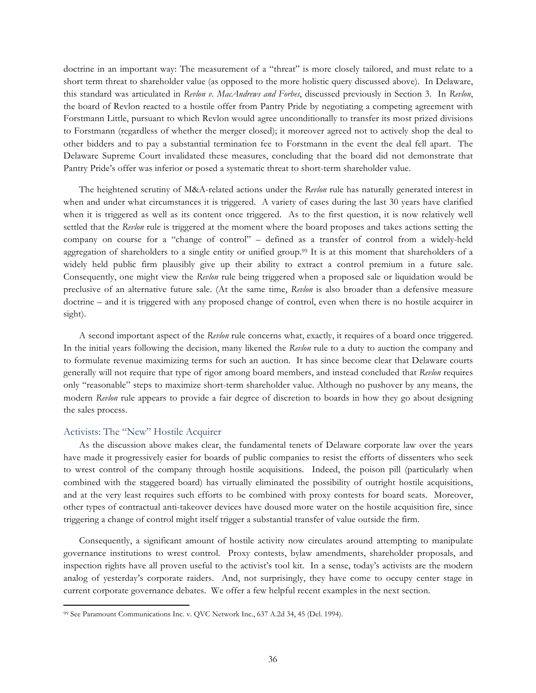doctrine in an important way: The measurement of a "threat" is more closely tailored, and must relate to a short term threat to shareholder value (as opposed to the more holistic query discussed above). In Delaware, this standard was articulated in *Revlon v. MacAndrews and Forbes*, discussed previously in Section 3. In *Revlon*, the board of Revlon reacted to a hostile offer from Pantry Pride by negotiating a competing agreement with Forstmann Little, pursuant to which Revlon would agree unconditionally to transfer its most prized divisions to Forstmann (regardless of whether the merger closed); it moreover agreed not to actively shop the deal to other bidders and to pay a substantial termination fee to Forstmann in the event the deal fell apart. The Delaware Supreme Court invalidated these measures, concluding that the board did not demonstrate that Pantry Pride's offer was inferior or posed a systematic threat to short-term shareholder value.

The heightened scrutiny of M&A-related actions under the *Revlon* rule has naturally generated interest in when and under what circumstances it is triggered. A variety of cases during the last 30 years have clarified when it is triggered as well as its content once triggered. As to the first question, it is now relatively well settled that the *Revlon* rule is triggered at the moment where the board proposes and takes actions setting the company on course for a "change of control" – defined as a transfer of control from a widely-held aggregation of shareholders to a single entity or unified group.99 It is at this moment that shareholders of a widely held public firm plausibly give up their ability to extract a control premium in a future sale. Consequently, one might view the *Revlon* rule being triggered when a proposed sale or liquidation would be preclusive of an alternative future sale. (At the same time, *Revlon* is also broader than a defensive measure doctrine – and it is triggered with any proposed change of control, even when there is no hostile acquirer in sight).

A second important aspect of the *Revlon* rule concerns what, exactly, it requires of a board once triggered. In the initial years following the decision, many likened the *Revlon* rule to a duty to auction the company and to formulate revenue maximizing terms for such an auction. It has since become clear that Delaware courts generally will not require that type of rigor among board members, and instead concluded that *Revlon* requires only "reasonable" steps to maximize short-term shareholder value. Although no pushover by any means, the modern *Revlon* rule appears to provide a fair degree of discretion to boards in how they go about designing the sales process.

#### Activists: The "New" Hostile Acquirer

 

As the discussion above makes clear, the fundamental tenets of Delaware corporate law over the years have made it progressively easier for boards of public companies to resist the efforts of dissenters who seek to wrest control of the company through hostile acquisitions. Indeed, the poison pill (particularly when combined with the staggered board) has virtually eliminated the possibility of outright hostile acquisitions, and at the very least requires such efforts to be combined with proxy contests for board seats. Moreover, other types of contractual anti-takeover devices have doused more water on the hostile acquisition fire, since triggering a change of control might itself trigger a substantial transfer of value outside the firm.

Consequently, a significant amount of hostile activity now circulates around attempting to manipulate governance institutions to wrest control. Proxy contests, bylaw amendments, shareholder proposals, and inspection rights have all proven useful to the activist's tool kit. In a sense, today's activists are the modern analog of yesterday's corporate raiders. And, not surprisingly, they have come to occupy center stage in current corporate governance debates. We offer a few helpful recent examples in the next section.

<sup>99</sup> See Paramount Communications Inc. v. QVC Network Inc., 637 A.2d 34, 45 (Del. 1994).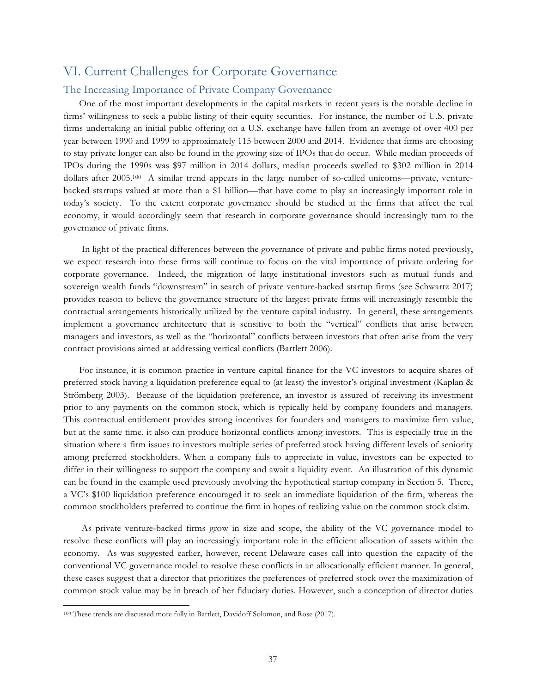## VI. Current Challenges for Corporate Governance

#### The Increasing Importance of Private Company Governance

One of the most important developments in the capital markets in recent years is the notable decline in firms' willingness to seek a public listing of their equity securities. For instance, the number of U.S. private firms undertaking an initial public offering on a U.S. exchange have fallen from an average of over 400 per year between 1990 and 1999 to approximately 115 between 2000 and 2014. Evidence that firms are choosing to stay private longer can also be found in the growing size of IPOs that do occur. While median proceeds of IPOs during the 1990s was \$97 million in 2014 dollars, median proceeds swelled to \$302 million in 2014 dollars after 2005.100 A similar trend appears in the large number of so-called unicorns—private, venturebacked startups valued at more than a \$1 billion—that have come to play an increasingly important role in today's society. To the extent corporate governance should be studied at the firms that affect the real economy, it would accordingly seem that research in corporate governance should increasingly turn to the governance of private firms.

In light of the practical differences between the governance of private and public firms noted previously, we expect research into these firms will continue to focus on the vital importance of private ordering for corporate governance. Indeed, the migration of large institutional investors such as mutual funds and sovereign wealth funds "downstream" in search of private venture-backed startup firms (see Schwartz 2017) provides reason to believe the governance structure of the largest private firms will increasingly resemble the contractual arrangements historically utilized by the venture capital industry. In general, these arrangements implement a governance architecture that is sensitive to both the "vertical" conflicts that arise between managers and investors, as well as the "horizontal" conflicts between investors that often arise from the very contract provisions aimed at addressing vertical conflicts (Bartlett 2006).

For instance, it is common practice in venture capital finance for the VC investors to acquire shares of preferred stock having a liquidation preference equal to (at least) the investor's original investment (Kaplan & Strömberg 2003). Because of the liquidation preference, an investor is assured of receiving its investment prior to any payments on the common stock, which is typically held by company founders and managers. This contractual entitlement provides strong incentives for founders and managers to maximize firm value, but at the same time, it also can produce horizontal conflicts among investors. This is especially true in the situation where a firm issues to investors multiple series of preferred stock having different levels of seniority among preferred stockholders. When a company fails to appreciate in value, investors can be expected to differ in their willingness to support the company and await a liquidity event. An illustration of this dynamic can be found in the example used previously involving the hypothetical startup company in Section 5. There, a VC's \$100 liquidation preference encouraged it to seek an immediate liquidation of the firm, whereas the common stockholders preferred to continue the firm in hopes of realizing value on the common stock claim.

As private venture-backed firms grow in size and scope, the ability of the VC governance model to resolve these conflicts will play an increasingly important role in the efficient allocation of assets within the economy. As was suggested earlier, however, recent Delaware cases call into question the capacity of the conventional VC governance model to resolve these conflicts in an allocationally efficient manner. In general, these cases suggest that a director that prioritizes the preferences of preferred stock over the maximization of common stock value may be in breach of her fiduciary duties. However, such a conception of director duties

<sup>100</sup> These trends are discussed more fully in Bartlett, Davidoff Solomon, and Rose (2017).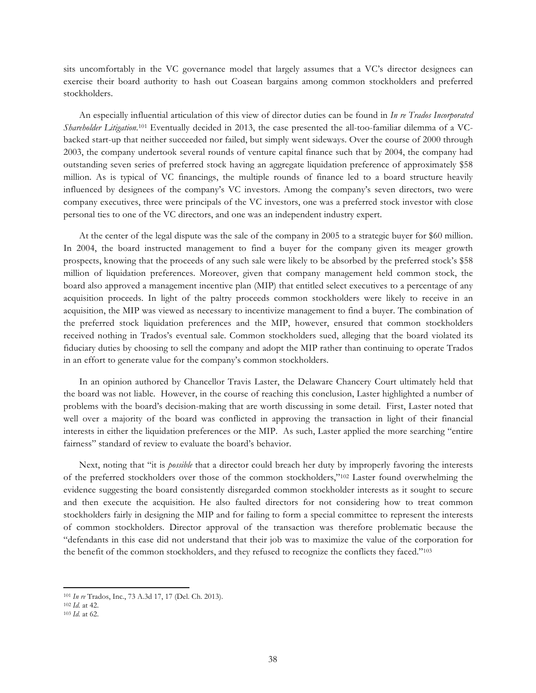sits uncomfortably in the VC governance model that largely assumes that a VC's director designees can exercise their board authority to hash out Coasean bargains among common stockholders and preferred stockholders.

An especially influential articulation of this view of director duties can be found in *In re Trados Incorporated Shareholder Litigation.*<sup>101</sup> Eventually decided in 2013, the case presented the all-too-familiar dilemma of a VCbacked start-up that neither succeeded nor failed, but simply went sideways. Over the course of 2000 through 2003, the company undertook several rounds of venture capital finance such that by 2004, the company had outstanding seven series of preferred stock having an aggregate liquidation preference of approximately \$58 million. As is typical of VC financings, the multiple rounds of finance led to a board structure heavily influenced by designees of the company's VC investors. Among the company's seven directors, two were company executives, three were principals of the VC investors, one was a preferred stock investor with close personal ties to one of the VC directors, and one was an independent industry expert.

At the center of the legal dispute was the sale of the company in 2005 to a strategic buyer for \$60 million. In 2004, the board instructed management to find a buyer for the company given its meager growth prospects, knowing that the proceeds of any such sale were likely to be absorbed by the preferred stock's \$58 million of liquidation preferences. Moreover, given that company management held common stock, the board also approved a management incentive plan (MIP) that entitled select executives to a percentage of any acquisition proceeds. In light of the paltry proceeds common stockholders were likely to receive in an acquisition, the MIP was viewed as necessary to incentivize management to find a buyer. The combination of the preferred stock liquidation preferences and the MIP, however, ensured that common stockholders received nothing in Trados's eventual sale. Common stockholders sued, alleging that the board violated its fiduciary duties by choosing to sell the company and adopt the MIP rather than continuing to operate Trados in an effort to generate value for the company's common stockholders.

In an opinion authored by Chancellor Travis Laster, the Delaware Chancery Court ultimately held that the board was not liable. However, in the course of reaching this conclusion, Laster highlighted a number of problems with the board's decision-making that are worth discussing in some detail. First, Laster noted that well over a majority of the board was conflicted in approving the transaction in light of their financial interests in either the liquidation preferences or the MIP. As such, Laster applied the more searching "entire fairness" standard of review to evaluate the board's behavior.

Next, noting that "it is *possible* that a director could breach her duty by improperly favoring the interests of the preferred stockholders over those of the common stockholders,"102 Laster found overwhelming the evidence suggesting the board consistently disregarded common stockholder interests as it sought to secure and then execute the acquisition. He also faulted directors for not considering how to treat common stockholders fairly in designing the MIP and for failing to form a special committee to represent the interests of common stockholders. Director approval of the transaction was therefore problematic because the "defendants in this case did not understand that their job was to maximize the value of the corporation for the benefit of the common stockholders, and they refused to recognize the conflicts they faced."103

<u> 1989 - Jan Samuel Barbara, margaret e</u>

<sup>101</sup> *In re* Trados, Inc., 73 A.3d 17, 17 (Del. Ch. 2013).

<sup>102</sup> *Id.* at 42.

<sup>103</sup> *Id.* at 62.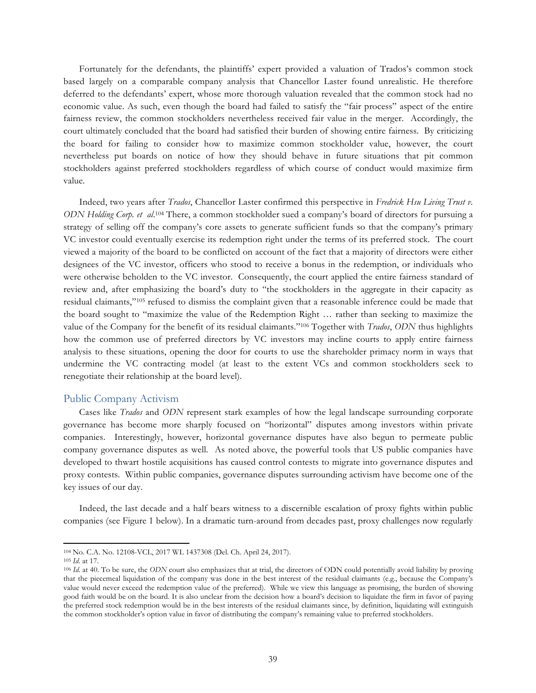Fortunately for the defendants, the plaintiffs' expert provided a valuation of Trados's common stock based largely on a comparable company analysis that Chancellor Laster found unrealistic. He therefore deferred to the defendants' expert, whose more thorough valuation revealed that the common stock had no economic value. As such, even though the board had failed to satisfy the "fair process" aspect of the entire fairness review, the common stockholders nevertheless received fair value in the merger. Accordingly, the court ultimately concluded that the board had satisfied their burden of showing entire fairness. By criticizing the board for failing to consider how to maximize common stockholder value, however, the court nevertheless put boards on notice of how they should behave in future situations that pit common stockholders against preferred stockholders regardless of which course of conduct would maximize firm value.

Indeed, two years after *Trados*, Chancellor Laster confirmed this perspective in *Fredrick Hsu Living Trust v. ODN Holding Corp. et al*.104 There, a common stockholder sued a company's board of directors for pursuing a strategy of selling off the company's core assets to generate sufficient funds so that the company's primary VC investor could eventually exercise its redemption right under the terms of its preferred stock. The court viewed a majority of the board to be conflicted on account of the fact that a majority of directors were either designees of the VC investor, officers who stood to receive a bonus in the redemption, or individuals who were otherwise beholden to the VC investor. Consequently, the court applied the entire fairness standard of review and, after emphasizing the board's duty to "the stockholders in the aggregate in their capacity as residual claimants,"105 refused to dismiss the complaint given that a reasonable inference could be made that the board sought to "maximize the value of the Redemption Right … rather than seeking to maximize the value of the Company for the benefit of its residual claimants."106 Together with *Trados*, *ODN* thus highlights how the common use of preferred directors by VC investors may incline courts to apply entire fairness analysis to these situations, opening the door for courts to use the shareholder primacy norm in ways that undermine the VC contracting model (at least to the extent VCs and common stockholders seek to renegotiate their relationship at the board level).

#### Public Company Activism

<u> 1989 - Jan Samuel Barbara, margaret e</u>

Cases like *Trados* and *ODN* represent stark examples of how the legal landscape surrounding corporate governance has become more sharply focused on "horizontal" disputes among investors within private companies. Interestingly, however, horizontal governance disputes have also begun to permeate public company governance disputes as well. As noted above, the powerful tools that US public companies have developed to thwart hostile acquisitions has caused control contests to migrate into governance disputes and proxy contests. Within public companies, governance disputes surrounding activism have become one of the key issues of our day.

Indeed, the last decade and a half bears witness to a discernible escalation of proxy fights within public companies (see Figure 1 below). In a dramatic turn-around from decades past, proxy challenges now regularly

<sup>104</sup> No. C.A. No. 12108-VCL, 2017 WL 1437308 (Del. Ch. April 24, 2017).

<sup>105</sup> *Id*. at 17.

<sup>106</sup> *Id*. at 40. To be sure, the *ODN* court also emphasizes that at trial, the directors of ODN could potentially avoid liability by proving that the piecemeal liquidation of the company was done in the best interest of the residual claimants (e.g., because the Company's value would never exceed the redemption value of the preferred). While we view this language as promising, the burden of showing good faith would be on the board. It is also unclear from the decision how a board's decision to liquidate the firm in favor of paying the preferred stock redemption would be in the best interests of the residual claimants since, by definition, liquidating will extinguish the common stockholder's option value in favor of distributing the company's remaining value to preferred stockholders.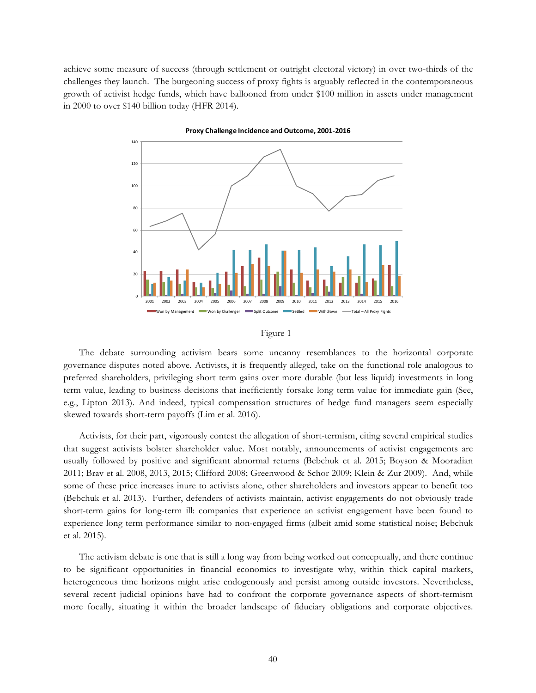achieve some measure of success (through settlement or outright electoral victory) in over two-thirds of the challenges they launch. The burgeoning success of proxy fights is arguably reflected in the contemporaneous growth of activist hedge funds, which have ballooned from under \$100 million in assets under management in 2000 to over \$140 billion today (HFR 2014).



Proxy Challenge Incidence and Outcome, 2001-2016

#### Figure 1

The debate surrounding activism bears some uncanny resemblances to the horizontal corporate governance disputes noted above. Activists, it is frequently alleged, take on the functional role analogous to preferred shareholders, privileging short term gains over more durable (but less liquid) investments in long term value, leading to business decisions that inefficiently forsake long term value for immediate gain (See, e.g., Lipton 2013). And indeed, typical compensation structures of hedge fund managers seem especially skewed towards short-term payoffs (Lim et al. 2016).

Activists, for their part, vigorously contest the allegation of short-termism, citing several empirical studies that suggest activists bolster shareholder value. Most notably, announcements of activist engagements are usually followed by positive and significant abnormal returns (Bebchuk et al. 2015; Boyson & Mooradian 2011; Brav et al. 2008, 2013, 2015; Clifford 2008; Greenwood & Schor 2009; Klein & Zur 2009). And, while some of these price increases inure to activists alone, other shareholders and investors appear to benefit too (Bebchuk et al. 2013). Further, defenders of activists maintain, activist engagements do not obviously trade short-term gains for long-term ill: companies that experience an activist engagement have been found to experience long term performance similar to non-engaged firms (albeit amid some statistical noise; Bebchuk et al. 2015).

The activism debate is one that is still a long way from being worked out conceptually, and there continue to be significant opportunities in financial economics to investigate why, within thick capital markets, heterogeneous time horizons might arise endogenously and persist among outside investors. Nevertheless, several recent judicial opinions have had to confront the corporate governance aspects of short-termism more focally, situating it within the broader landscape of fiduciary obligations and corporate objectives.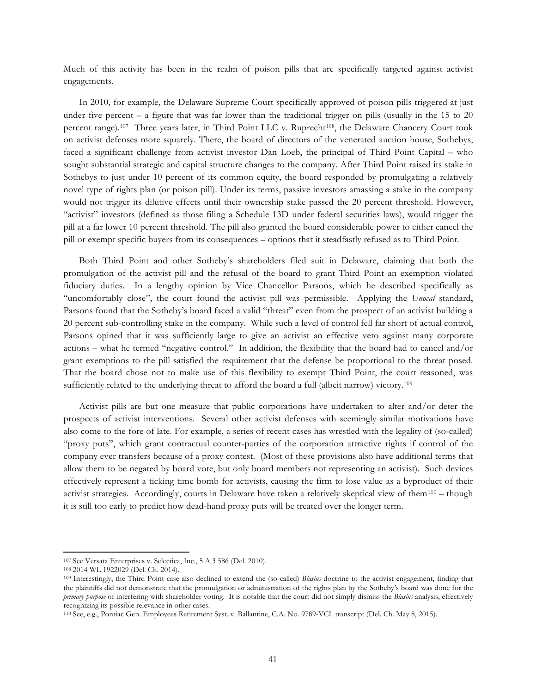Much of this activity has been in the realm of poison pills that are specifically targeted against activist engagements.

In 2010, for example, the Delaware Supreme Court specifically approved of poison pills triggered at just under five percent – a figure that was far lower than the traditional trigger on pills (usually in the 15 to 20 percent range).107 Three years later, in Third Point LLC v. Ruprecht108, the Delaware Chancery Court took on activist defenses more squarely. There, the board of directors of the venerated auction house, Sothebys, faced a significant challenge from activist investor Dan Loeb, the principal of Third Point Capital – who sought substantial strategic and capital structure changes to the company. After Third Point raised its stake in Sothebys to just under 10 percent of its common equity, the board responded by promulgating a relatively novel type of rights plan (or poison pill). Under its terms, passive investors amassing a stake in the company would not trigger its dilutive effects until their ownership stake passed the 20 percent threshold. However, "activist" investors (defined as those filing a Schedule 13D under federal securities laws), would trigger the pill at a far lower 10 percent threshold. The pill also granted the board considerable power to either cancel the pill or exempt specific buyers from its consequences – options that it steadfastly refused as to Third Point.

Both Third Point and other Sotheby's shareholders filed suit in Delaware, claiming that both the promulgation of the activist pill and the refusal of the board to grant Third Point an exemption violated fiduciary duties. In a lengthy opinion by Vice Chancellor Parsons, which he described specifically as "uncomfortably close", the court found the activist pill was permissible. Applying the *Unocal* standard, Parsons found that the Sotheby's board faced a valid "threat" even from the prospect of an activist building a 20 percent sub-controlling stake in the company. While such a level of control fell far short of actual control, Parsons opined that it was sufficiently large to give an activist an effective veto against many corporate actions – what he termed "negative control." In addition, the flexibility that the board had to cancel and/or grant exemptions to the pill satisfied the requirement that the defense be proportional to the threat posed. That the board chose not to make use of this flexibility to exempt Third Point, the court reasoned, was sufficiently related to the underlying threat to afford the board a full (albeit narrow) victory.109

Activist pills are but one measure that public corporations have undertaken to alter and/or deter the prospects of activist interventions. Several other activist defenses with seemingly similar motivations have also come to the fore of late. For example, a series of recent cases has wrestled with the legality of (so-called) "proxy puts", which grant contractual counter-parties of the corporation attractive rights if control of the company ever transfers because of a proxy contest. (Most of these provisions also have additional terms that allow them to be negated by board vote, but only board members not representing an activist). Such devices effectively represent a ticking time bomb for activists, causing the firm to lose value as a byproduct of their activist strategies. Accordingly, courts in Delaware have taken a relatively skeptical view of them110 – though it is still too early to predict how dead-hand proxy puts will be treated over the longer term.

<sup>107</sup> See Versata Enterprises v. Selectica, Inc., 5 A.3 586 (Del. 2010).

<sup>108</sup> 2014 WL 1922029 (Del. Ch. 2014).

<sup>109</sup> Interestingly, the Third Point case also declined to extend the (so-called) *Blasius* doctrine to the activist engagement, finding that the plaintiffs did not demonstrate that the promulgation or administration of the rights plan by the Sotheby's board was done for the *primary purpose* of interfering with shareholder voting. It is notable that the court did not simply dismiss the *Blasius* analysis, effectively recognizing its possible relevance in other cases.

<sup>110</sup> See, e.g., Pontiac Gen. Employees Retirement Syst. v. Ballantine, C.A. No. 9789-VCL transcript (Del. Ch. May 8, 2015).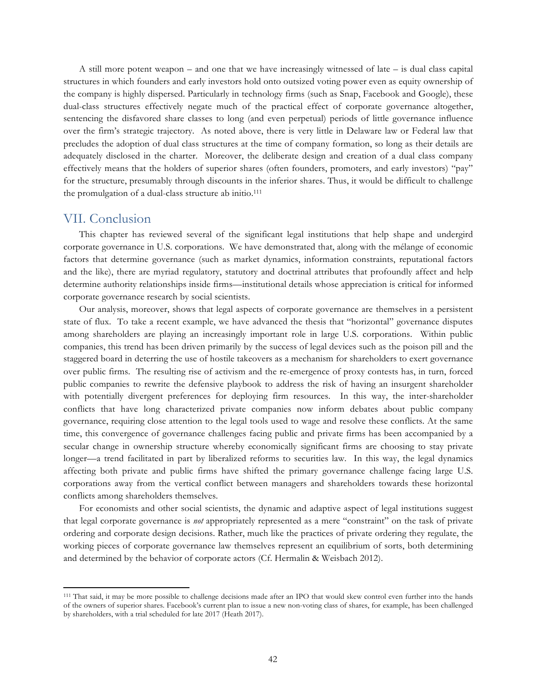A still more potent weapon – and one that we have increasingly witnessed of late – is dual class capital structures in which founders and early investors hold onto outsized voting power even as equity ownership of the company is highly dispersed. Particularly in technology firms (such as Snap, Facebook and Google), these dual-class structures effectively negate much of the practical effect of corporate governance altogether, sentencing the disfavored share classes to long (and even perpetual) periods of little governance influence over the firm's strategic trajectory. As noted above, there is very little in Delaware law or Federal law that precludes the adoption of dual class structures at the time of company formation, so long as their details are adequately disclosed in the charter. Moreover, the deliberate design and creation of a dual class company effectively means that the holders of superior shares (often founders, promoters, and early investors) "pay" for the structure, presumably through discounts in the inferior shares. Thus, it would be difficult to challenge the promulgation of a dual-class structure ab initio.111

### VII. Conclusion

<u> 1989 - Jan Samuel Barbara, margaret e</u>

This chapter has reviewed several of the significant legal institutions that help shape and undergird corporate governance in U.S. corporations. We have demonstrated that, along with the mélange of economic factors that determine governance (such as market dynamics, information constraints, reputational factors and the like), there are myriad regulatory, statutory and doctrinal attributes that profoundly affect and help determine authority relationships inside firms—institutional details whose appreciation is critical for informed corporate governance research by social scientists.

Our analysis, moreover, shows that legal aspects of corporate governance are themselves in a persistent state of flux. To take a recent example, we have advanced the thesis that "horizontal" governance disputes among shareholders are playing an increasingly important role in large U.S. corporations. Within public companies, this trend has been driven primarily by the success of legal devices such as the poison pill and the staggered board in deterring the use of hostile takeovers as a mechanism for shareholders to exert governance over public firms. The resulting rise of activism and the re-emergence of proxy contests has, in turn, forced public companies to rewrite the defensive playbook to address the risk of having an insurgent shareholder with potentially divergent preferences for deploying firm resources. In this way, the inter-shareholder conflicts that have long characterized private companies now inform debates about public company governance, requiring close attention to the legal tools used to wage and resolve these conflicts. At the same time, this convergence of governance challenges facing public and private firms has been accompanied by a secular change in ownership structure whereby economically significant firms are choosing to stay private longer—a trend facilitated in part by liberalized reforms to securities law. In this way, the legal dynamics affecting both private and public firms have shifted the primary governance challenge facing large U.S. corporations away from the vertical conflict between managers and shareholders towards these horizontal conflicts among shareholders themselves.

For economists and other social scientists, the dynamic and adaptive aspect of legal institutions suggest that legal corporate governance is *not* appropriately represented as a mere "constraint" on the task of private ordering and corporate design decisions. Rather, much like the practices of private ordering they regulate, the working pieces of corporate governance law themselves represent an equilibrium of sorts, both determining and determined by the behavior of corporate actors (Cf. Hermalin & Weisbach 2012).

<sup>111</sup> That said, it may be more possible to challenge decisions made after an IPO that would skew control even further into the hands of the owners of superior shares. Facebook's current plan to issue a new non-voting class of shares, for example, has been challenged by shareholders, with a trial scheduled for late 2017 (Heath 2017).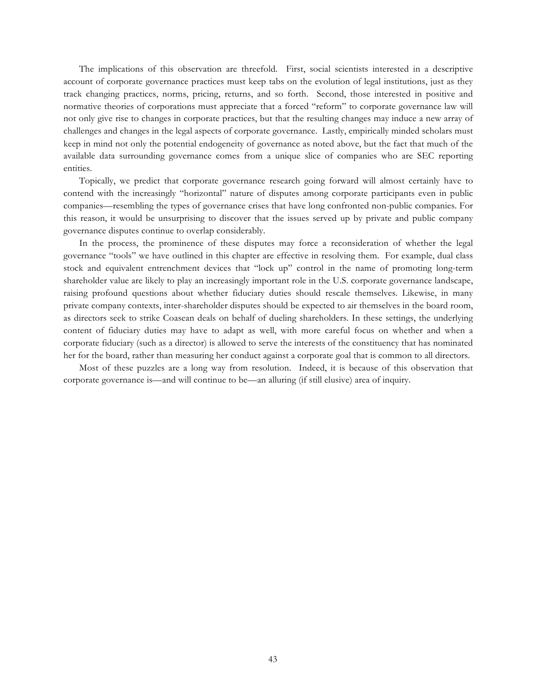The implications of this observation are threefold. First, social scientists interested in a descriptive account of corporate governance practices must keep tabs on the evolution of legal institutions, just as they track changing practices, norms, pricing, returns, and so forth. Second, those interested in positive and normative theories of corporations must appreciate that a forced "reform" to corporate governance law will not only give rise to changes in corporate practices, but that the resulting changes may induce a new array of challenges and changes in the legal aspects of corporate governance. Lastly, empirically minded scholars must keep in mind not only the potential endogeneity of governance as noted above, but the fact that much of the available data surrounding governance comes from a unique slice of companies who are SEC reporting entities.

Topically, we predict that corporate governance research going forward will almost certainly have to contend with the increasingly "horizontal" nature of disputes among corporate participants even in public companies—resembling the types of governance crises that have long confronted non-public companies. For this reason, it would be unsurprising to discover that the issues served up by private and public company governance disputes continue to overlap considerably.

In the process, the prominence of these disputes may force a reconsideration of whether the legal governance "tools" we have outlined in this chapter are effective in resolving them. For example, dual class stock and equivalent entrenchment devices that "lock up" control in the name of promoting long-term shareholder value are likely to play an increasingly important role in the U.S. corporate governance landscape, raising profound questions about whether fiduciary duties should rescale themselves. Likewise, in many private company contexts, inter-shareholder disputes should be expected to air themselves in the board room, as directors seek to strike Coasean deals on behalf of dueling shareholders. In these settings, the underlying content of fiduciary duties may have to adapt as well, with more careful focus on whether and when a corporate fiduciary (such as a director) is allowed to serve the interests of the constituency that has nominated her for the board, rather than measuring her conduct against a corporate goal that is common to all directors.

Most of these puzzles are a long way from resolution. Indeed, it is because of this observation that corporate governance is—and will continue to be—an alluring (if still elusive) area of inquiry.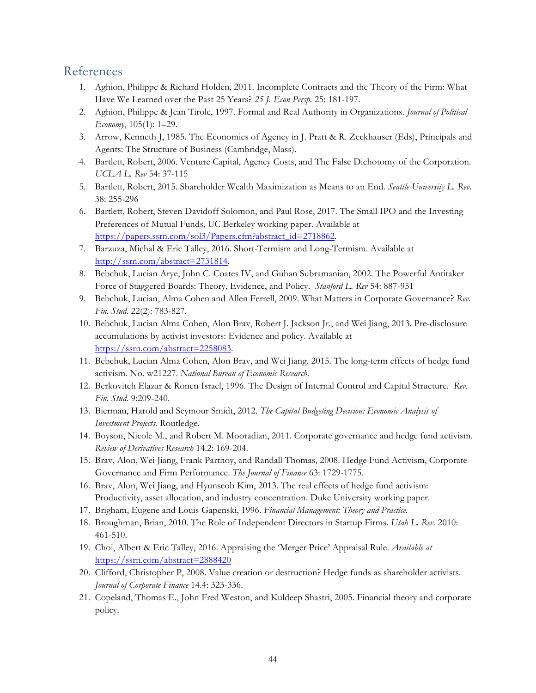## References

- 1. Aghion, Philippe & Richard Holden, 2011. Incomplete Contracts and the Theory of the Firm: What Have We Learned over the Past 25 Years? *25 J. Econ Persp.* 25: 181-197.
- 2. Aghion, Philippe & Jean Tirole, 1997. Formal and Real Authority in Organizations. *Journal of Political Economy*, 105(1): 1–29.
- 3. Arrow, Kenneth J, 1985. The Economics of Agency in J. Pratt & R. Zeckhauser (Eds), Principals and Agents: The Structure of Business (Cambridge, Mass).
- 4. Bartlett, Robert, 2006. Venture Capital, Agency Costs, and The False Dichotomy of the Corporation. *UCLA L. Rev* 54: 37-115
- 5. Bartlett, Robert, 2015. Shareholder Wealth Maximization as Means to an End. *Seattle University L. Rev.* 38: 255-296
- 6. Bartlett, Robert, Steven Davidoff Solomon, and Paul Rose, 2017. The Small IPO and the Investing Preferences of Mutual Funds, UC Berkeley working paper. Available at https://papers.ssrn.com/sol3/Papers.cfm?abstract\_id=2718862.
- 7. Barzuza, Michal & Eric Talley, 2016. Short-Termism and Long-Termism. Available at http://ssrn.com/abstract=2731814.
- 8. Bebchuk, Lucian Arye, John C. Coates IV, and Guhan Subramanian, 2002. The Powerful Antitaker Force of Staggered Boards: Theory, Evidence, and Policy. *Stanford L. Rev* 54: 887-951
- 9. Bebchuk, Lucian, Alma Cohen and Allen Ferrell, 2009. What Matters in Corporate Governance? *Rev. Fin. Stud.* 22(2): 783-827.
- 10. Bebchuk, Lucian Alma Cohen, Alon Brav, Robert J. Jackson Jr., and Wei Jiang, 2013. Pre-disclosure accumulations by activist investors: Evidence and policy. Available at https://ssrn.com/abstract=2258083.
- 11. Bebchuk, Lucian Alma Cohen, Alon Brav, and Wei Jiang. 2015. The long-term effects of hedge fund activism. No. w21227. *National Bureau of Economic Research*.
- 12. Berkovitch Elazar & Ronen Israel, 1996. The Design of Internal Control and Capital Structure. *Rev. Fin. Stud.* 9:209-240.
- 13. Bierman, Harold and Seymour Smidt, 2012. *The Capital Budgeting Decision: Economic Analysis of Investment Projects.* Routledge.
- 14. Boyson, Nicole M., and Robert M. Mooradian, 2011. Corporate governance and hedge fund activism. *Review of Derivatives Research* 14.2: 169-204.
- 15. Brav, Alon, Wei Jiang, Frank Partnoy, and Randall Thomas, 2008. Hedge Fund Activism, Corporate Governance and Firm Performance. *The Journal of Finance* 63: 1729-1775.
- 16. Brav, Alon, Wei Jiang, and Hyunseob Kim, 2013. The real effects of hedge fund activism: Productivity, asset allocation, and industry concentration. Duke University working paper.
- 17. Brigham, Eugene and Louis Gapenski, 1996. *Financial Management: Theory and Practice.*
- 18. Broughman, Brian, 2010. The Role of Independent Directors in Startup Firms. *Utah L. Rev.* 2010: 461-510.
- 19. Choi, Albert & Eric Talley, 2016. Appraising the 'Merger Price' Appraisal Rule. *Available at*  https://ssrn.com/abstract=2888420
- 20. Clifford, Christopher P, 2008. Value creation or destruction? Hedge funds as shareholder activists. *Journal of Corporate Finance* 14.4: 323-336.
- 21. Copeland, Thomas E., John Fred Weston, and Kuldeep Shastri, 2005. Financial theory and corporate policy.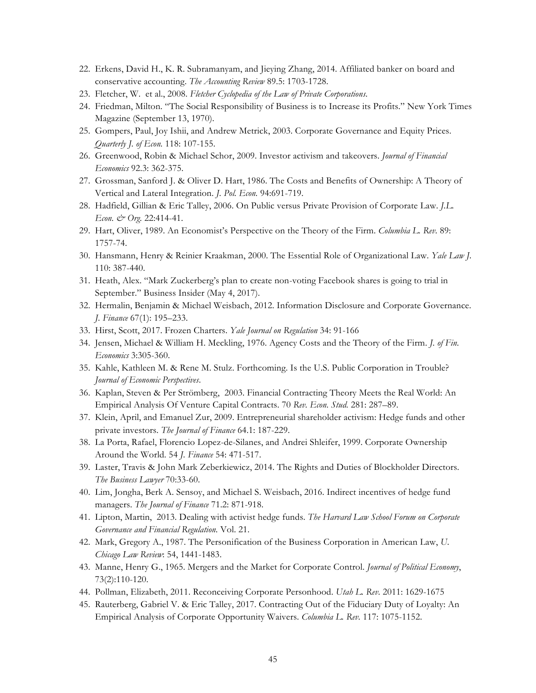- 22. Erkens, David H., K. R. Subramanyam, and Jieying Zhang, 2014. Affiliated banker on board and conservative accounting. *The Accounting Review* 89.5: 1703-1728.
- 23. Fletcher, W. et al., 2008. *Fletcher Cyclopedia of the Law of Private Corporations*.
- 24. Friedman, Milton. "The Social Responsibility of Business is to Increase its Profits." New York Times Magazine (September 13, 1970).
- 25. Gompers, Paul, Joy Ishii, and Andrew Metrick, 2003. Corporate Governance and Equity Prices. *Quarterly J. of Econ.* 118: 107-155.
- 26. Greenwood, Robin & Michael Schor, 2009. Investor activism and takeovers. *Journal of Financial Economics* 92.3: 362-375.
- 27. Grossman, Sanford J. & Oliver D. Hart, 1986. The Costs and Benefits of Ownership: A Theory of Vertical and Lateral Integration. *J. Pol. Econ.* 94:691-719.
- 28. Hadfield, Gillian & Eric Talley, 2006. On Public versus Private Provision of Corporate Law. *J.L. Econ. & Org.* 22:414-41.
- 29. Hart, Oliver, 1989. An Economist's Perspective on the Theory of the Firm. *Columbia L. Rev*. 89: 1757-74.
- 30. Hansmann, Henry & Reinier Kraakman, 2000. The Essential Role of Organizational Law. *Yale Law J*. 110: 387-440.
- 31. Heath, Alex. "Mark Zuckerberg's plan to create non-voting Facebook shares is going to trial in September." Business Insider (May 4, 2017).
- 32. Hermalin, Benjamin & Michael Weisbach, 2012. Information Disclosure and Corporate Governance. *J. Finance* 67(1): 195–233.
- 33. Hirst, Scott, 2017. Frozen Charters. *Yale Journal on Regulation* 34: 91-166
- 34. Jensen, Michael & William H. Meckling, 1976. Agency Costs and the Theory of the Firm. *J. of Fin. Economics* 3:305-360.
- 35. Kahle, Kathleen M. & Rene M. Stulz. Forthcoming. Is the U.S. Public Corporation in Trouble? *Journal of Economic Perspectives*.
- 36. Kaplan, Steven & Per Strömberg, 2003. Financial Contracting Theory Meets the Real World: An Empirical Analysis Of Venture Capital Contracts. 70 *Rev. Econ. Stud.* 281: 287–89.
- 37. Klein, April, and Emanuel Zur, 2009. Entrepreneurial shareholder activism: Hedge funds and other private investors. *The Journal of Finance* 64.1: 187-229.
- 38. La Porta, Rafael, Florencio Lopez-de-Silanes, and Andrei Shleifer, 1999. Corporate Ownership Around the World. 54 *J. Finance* 54: 471-517.
- 39. Laster, Travis & John Mark Zeberkiewicz, 2014. The Rights and Duties of Blockholder Directors. *The Business Lawyer* 70:33-60.
- 40. Lim, Jongha, Berk A. Sensoy, and Michael S. Weisbach, 2016. Indirect incentives of hedge fund managers. *The Journal of Finance* 71.2: 871-918.
- 41. Lipton, Martin, 2013. Dealing with activist hedge funds. *The Harvard Law School Forum on Corporate Governance and Financial Regulation.* Vol. 21.
- 42. Mark, Gregory A., 1987. The Personification of the Business Corporation in American Law, *U. Chicago Law Review*: 54, 1441-1483.
- 43. Manne, Henry G., 1965. Mergers and the Market for Corporate Control. *Journal of Political Economy*, 73(2):110-120.
- 44. Pollman, Elizabeth, 2011. Reconceiving Corporate Personhood. *Utah L. Rev*. 2011: 1629-1675
- 45. Rauterberg, Gabriel V. & Eric Talley, 2017. Contracting Out of the Fiduciary Duty of Loyalty: An Empirical Analysis of Corporate Opportunity Waivers. *Columbia L. Rev.* 117: 1075-1152.